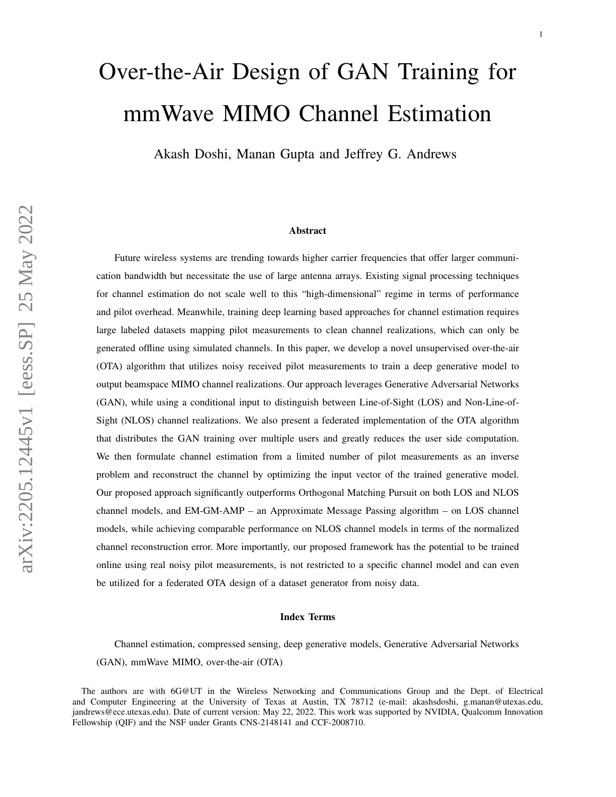# Over-the-Air Design of GAN Training for mmWave MIMO Channel Estimation

Akash Doshi, Manan Gupta and Jeffrey G. Andrews

#### Abstract

Future wireless systems are trending towards higher carrier frequencies that offer larger communication bandwidth but necessitate the use of large antenna arrays. Existing signal processing techniques for channel estimation do not scale well to this "high-dimensional" regime in terms of performance and pilot overhead. Meanwhile, training deep learning based approaches for channel estimation requires large labeled datasets mapping pilot measurements to clean channel realizations, which can only be generated offline using simulated channels. In this paper, we develop a novel unsupervised over-the-air (OTA) algorithm that utilizes noisy received pilot measurements to train a deep generative model to output beamspace MIMO channel realizations. Our approach leverages Generative Adversarial Networks (GAN), while using a conditional input to distinguish between Line-of-Sight (LOS) and Non-Line-of-Sight (NLOS) channel realizations. We also present a federated implementation of the OTA algorithm that distributes the GAN training over multiple users and greatly reduces the user side computation. We then formulate channel estimation from a limited number of pilot measurements as an inverse problem and reconstruct the channel by optimizing the input vector of the trained generative model. Our proposed approach significantly outperforms Orthogonal Matching Pursuit on both LOS and NLOS channel models, and EM-GM-AMP – an Approximate Message Passing algorithm – on LOS channel models, while achieving comparable performance on NLOS channel models in terms of the normalized channel reconstruction error. More importantly, our proposed framework has the potential to be trained online using real noisy pilot measurements, is not restricted to a specific channel model and can even be utilized for a federated OTA design of a dataset generator from noisy data.

#### Index Terms

Channel estimation, compressed sensing, deep generative models, Generative Adversarial Networks (GAN), mmWave MIMO, over-the-air (OTA)

The authors are with 6G@UT in the Wireless Networking and Communications Group and the Dept. of Electrical and Computer Engineering at the University of Texas at Austin, TX 78712 (e-mail: akashsdoshi, g.manan@utexas.edu, jandrews@ece.utexas.edu). Date of current version: May 22, 2022. This work was supported by NVIDIA, Qualcomm Innovation Fellowship (QIF) and the NSF under Grants CNS-2148141 and CCF-2008710.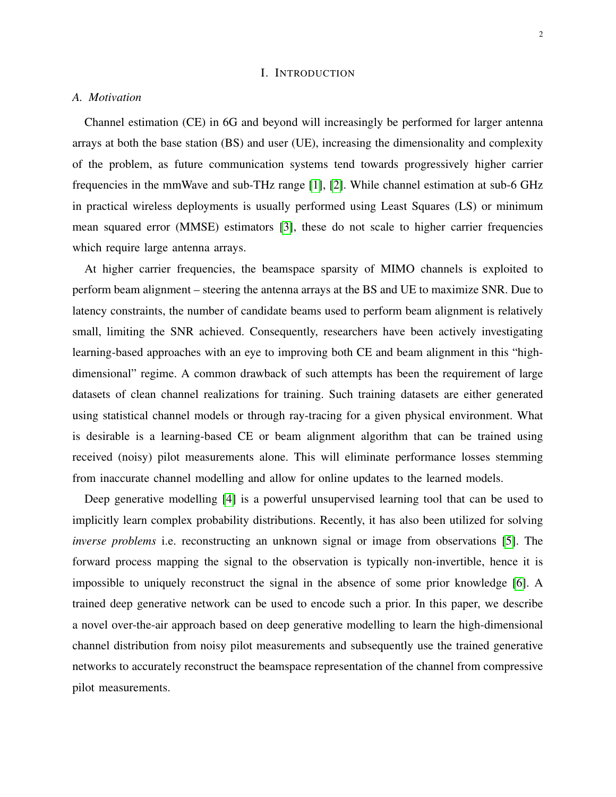## I. INTRODUCTION

## *A. Motivation*

Channel estimation (CE) in 6G and beyond will increasingly be performed for larger antenna arrays at both the base station (BS) and user (UE), increasing the dimensionality and complexity of the problem, as future communication systems tend towards progressively higher carrier frequencies in the mmWave and sub-THz range [\[1\]](#page-29-0), [\[2\]](#page-29-1). While channel estimation at sub-6 GHz in practical wireless deployments is usually performed using Least Squares (LS) or minimum mean squared error (MMSE) estimators [\[3\]](#page-29-2), these do not scale to higher carrier frequencies which require large antenna arrays.

At higher carrier frequencies, the beamspace sparsity of MIMO channels is exploited to perform beam alignment – steering the antenna arrays at the BS and UE to maximize SNR. Due to latency constraints, the number of candidate beams used to perform beam alignment is relatively small, limiting the SNR achieved. Consequently, researchers have been actively investigating learning-based approaches with an eye to improving both CE and beam alignment in this "highdimensional" regime. A common drawback of such attempts has been the requirement of large datasets of clean channel realizations for training. Such training datasets are either generated using statistical channel models or through ray-tracing for a given physical environment. What is desirable is a learning-based CE or beam alignment algorithm that can be trained using received (noisy) pilot measurements alone. This will eliminate performance losses stemming from inaccurate channel modelling and allow for online updates to the learned models.

Deep generative modelling [\[4\]](#page-29-3) is a powerful unsupervised learning tool that can be used to implicitly learn complex probability distributions. Recently, it has also been utilized for solving *inverse problems* i.e. reconstructing an unknown signal or image from observations [\[5\]](#page-29-4). The forward process mapping the signal to the observation is typically non-invertible, hence it is impossible to uniquely reconstruct the signal in the absence of some prior knowledge [\[6\]](#page-29-5). A trained deep generative network can be used to encode such a prior. In this paper, we describe a novel over-the-air approach based on deep generative modelling to learn the high-dimensional channel distribution from noisy pilot measurements and subsequently use the trained generative networks to accurately reconstruct the beamspace representation of the channel from compressive pilot measurements.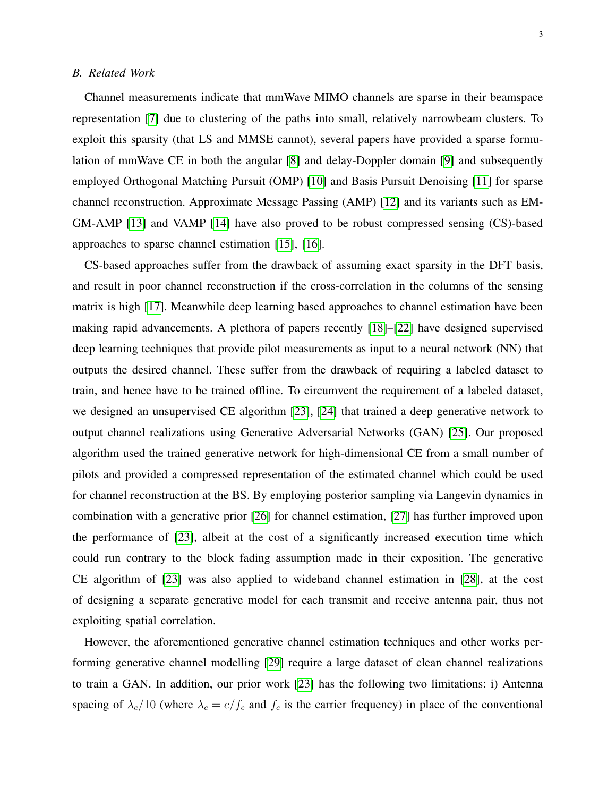## <span id="page-2-0"></span>*B. Related Work*

Channel measurements indicate that mmWave MIMO channels are sparse in their beamspace representation [\[7\]](#page-29-6) due to clustering of the paths into small, relatively narrowbeam clusters. To exploit this sparsity (that LS and MMSE cannot), several papers have provided a sparse formulation of mmWave CE in both the angular [\[8\]](#page-29-7) and delay-Doppler domain [\[9\]](#page-29-8) and subsequently employed Orthogonal Matching Pursuit (OMP) [\[10\]](#page-29-9) and Basis Pursuit Denoising [\[11\]](#page-29-10) for sparse channel reconstruction. Approximate Message Passing (AMP) [\[12\]](#page-29-11) and its variants such as EM-GM-AMP [\[13\]](#page-29-12) and VAMP [\[14\]](#page-29-13) have also proved to be robust compressed sensing (CS)-based approaches to sparse channel estimation [\[15\]](#page-29-14), [\[16\]](#page-29-15).

CS-based approaches suffer from the drawback of assuming exact sparsity in the DFT basis, and result in poor channel reconstruction if the cross-correlation in the columns of the sensing matrix is high [\[17\]](#page-29-16). Meanwhile deep learning based approaches to channel estimation have been making rapid advancements. A plethora of papers recently [\[18\]](#page-29-17)–[\[22\]](#page-30-0) have designed supervised deep learning techniques that provide pilot measurements as input to a neural network (NN) that outputs the desired channel. These suffer from the drawback of requiring a labeled dataset to train, and hence have to be trained offline. To circumvent the requirement of a labeled dataset, we designed an unsupervised CE algorithm [\[23\]](#page-30-1), [\[24\]](#page-30-2) that trained a deep generative network to output channel realizations using Generative Adversarial Networks (GAN) [\[25\]](#page-30-3). Our proposed algorithm used the trained generative network for high-dimensional CE from a small number of pilots and provided a compressed representation of the estimated channel which could be used for channel reconstruction at the BS. By employing posterior sampling via Langevin dynamics in combination with a generative prior [\[26\]](#page-30-4) for channel estimation, [\[27\]](#page-30-5) has further improved upon the performance of [\[23\]](#page-30-1), albeit at the cost of a significantly increased execution time which could run contrary to the block fading assumption made in their exposition. The generative CE algorithm of [\[23\]](#page-30-1) was also applied to wideband channel estimation in [\[28\]](#page-30-6), at the cost of designing a separate generative model for each transmit and receive antenna pair, thus not exploiting spatial correlation.

However, the aforementioned generative channel estimation techniques and other works performing generative channel modelling [\[29\]](#page-30-7) require a large dataset of clean channel realizations to train a GAN. In addition, our prior work [\[23\]](#page-30-1) has the following two limitations: i) Antenna spacing of  $\lambda_c/10$  (where  $\lambda_c = c/f_c$  and  $f_c$  is the carrier frequency) in place of the conventional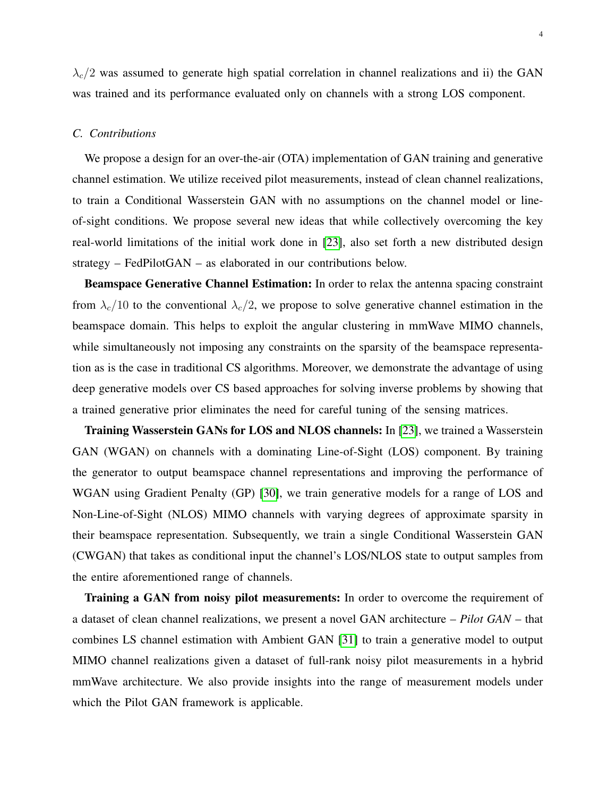$\lambda_c/2$  was assumed to generate high spatial correlation in channel realizations and ii) the GAN was trained and its performance evaluated only on channels with a strong LOS component.

## *C. Contributions*

We propose a design for an over-the-air (OTA) implementation of GAN training and generative channel estimation. We utilize received pilot measurements, instead of clean channel realizations, to train a Conditional Wasserstein GAN with no assumptions on the channel model or lineof-sight conditions. We propose several new ideas that while collectively overcoming the key real-world limitations of the initial work done in [\[23\]](#page-30-1), also set forth a new distributed design strategy – FedPilotGAN – as elaborated in our contributions below.

Beamspace Generative Channel Estimation: In order to relax the antenna spacing constraint from  $\lambda_c/10$  to the conventional  $\lambda_c/2$ , we propose to solve generative channel estimation in the beamspace domain. This helps to exploit the angular clustering in mmWave MIMO channels, while simultaneously not imposing any constraints on the sparsity of the beamspace representation as is the case in traditional CS algorithms. Moreover, we demonstrate the advantage of using deep generative models over CS based approaches for solving inverse problems by showing that a trained generative prior eliminates the need for careful tuning of the sensing matrices.

Training Wasserstein GANs for LOS and NLOS channels: In [\[23\]](#page-30-1), we trained a Wasserstein GAN (WGAN) on channels with a dominating Line-of-Sight (LOS) component. By training the generator to output beamspace channel representations and improving the performance of WGAN using Gradient Penalty (GP) [\[30\]](#page-30-8), we train generative models for a range of LOS and Non-Line-of-Sight (NLOS) MIMO channels with varying degrees of approximate sparsity in their beamspace representation. Subsequently, we train a single Conditional Wasserstein GAN (CWGAN) that takes as conditional input the channel's LOS/NLOS state to output samples from the entire aforementioned range of channels.

Training a GAN from noisy pilot measurements: In order to overcome the requirement of a dataset of clean channel realizations, we present a novel GAN architecture – *Pilot GAN* – that combines LS channel estimation with Ambient GAN [\[31\]](#page-30-9) to train a generative model to output MIMO channel realizations given a dataset of full-rank noisy pilot measurements in a hybrid mmWave architecture. We also provide insights into the range of measurement models under which the Pilot GAN framework is applicable.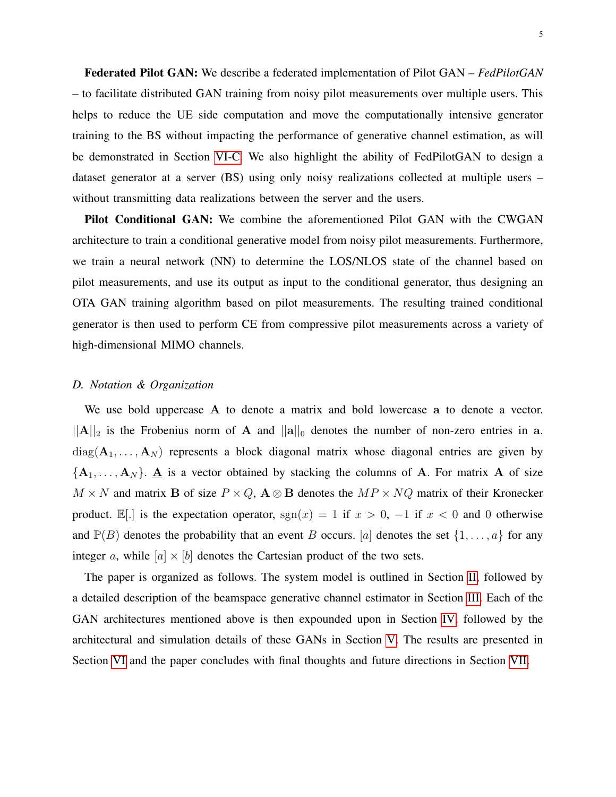Federated Pilot GAN: We describe a federated implementation of Pilot GAN – *FedPilotGAN* – to facilitate distributed GAN training from noisy pilot measurements over multiple users. This helps to reduce the UE side computation and move the computationally intensive generator training to the BS without impacting the performance of generative channel estimation, as will be demonstrated in Section [VI-C.](#page-23-0) We also highlight the ability of FedPilotGAN to design a dataset generator at a server (BS) using only noisy realizations collected at multiple users – without transmitting data realizations between the server and the users.

Pilot Conditional GAN: We combine the aforementioned Pilot GAN with the CWGAN architecture to train a conditional generative model from noisy pilot measurements. Furthermore, we train a neural network (NN) to determine the LOS/NLOS state of the channel based on pilot measurements, and use its output as input to the conditional generator, thus designing an OTA GAN training algorithm based on pilot measurements. The resulting trained conditional generator is then used to perform CE from compressive pilot measurements across a variety of high-dimensional MIMO channels.

## *D. Notation & Organization*

We use bold uppercase A to denote a matrix and bold lowercase a to denote a vector.  $||A||_2$  is the Frobenius norm of A and  $||a||_0$  denotes the number of non-zero entries in a.  $diag(\mathbf{A}_1, \ldots, \mathbf{A}_N)$  represents a block diagonal matrix whose diagonal entries are given by  ${A_1, \ldots, A_N}$ .  ${\underline{A}}$  is a vector obtained by stacking the columns of A. For matrix A of size  $M \times N$  and matrix B of size  $P \times Q$ ,  $A \otimes B$  denotes the  $MP \times NQ$  matrix of their Kronecker product. E[.] is the expectation operator,  $sgn(x) = 1$  if  $x > 0$ ,  $-1$  if  $x < 0$  and 0 otherwise and  $\mathbb{P}(B)$  denotes the probability that an event B occurs. [a] denotes the set  $\{1, \ldots, a\}$  for any integer a, while  $[a] \times [b]$  denotes the Cartesian product of the two sets.

The paper is organized as follows. The system model is outlined in Section [II,](#page-5-0) followed by a detailed description of the beamspace generative channel estimator in Section [III.](#page-5-1) Each of the GAN architectures mentioned above is then expounded upon in Section [IV,](#page-7-0) followed by the architectural and simulation details of these GANs in Section [V.](#page-15-0) The results are presented in Section [VI](#page-19-0) and the paper concludes with final thoughts and future directions in Section [VII.](#page-28-0)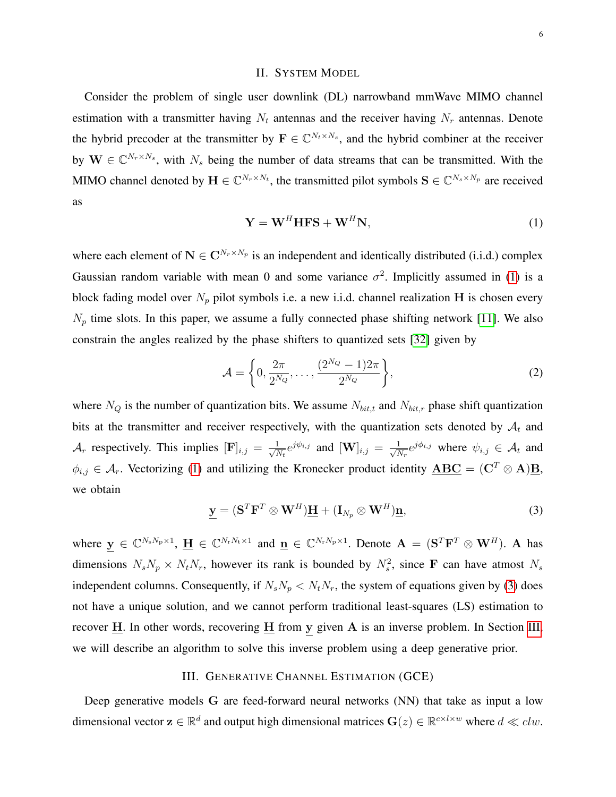## II. SYSTEM MODEL

<span id="page-5-0"></span>Consider the problem of single user downlink (DL) narrowband mmWave MIMO channel estimation with a transmitter having  $N_t$  antennas and the receiver having  $N_r$  antennas. Denote the hybrid precoder at the transmitter by  $\mathbf{F} \in \mathbb{C}^{N_t \times N_s}$ , and the hybrid combiner at the receiver by  $\mathbf{W} \in \mathbb{C}^{N_r \times N_s}$ , with  $N_s$  being the number of data streams that can be transmitted. With the MIMO channel denoted by  $\mathbf{H} \in \mathbb{C}^{N_r \times N_t}$ , the transmitted pilot symbols  $\mathbf{S} \in \mathbb{C}^{N_s \times N_p}$  are received as

<span id="page-5-2"></span>
$$
\mathbf{Y} = \mathbf{W}^H \mathbf{H} \mathbf{F} \mathbf{S} + \mathbf{W}^H \mathbf{N},\tag{1}
$$

where each element of  $N \in \mathbb{C}^{N_r \times N_p}$  is an independent and identically distributed (i.i.d.) complex Gaussian random variable with mean 0 and some variance  $\sigma^2$ . Implicitly assumed in [\(1\)](#page-5-2) is a block fading model over  $N_p$  pilot symbols i.e. a new i.i.d. channel realization H is chosen every  $N_p$  time slots. In this paper, we assume a fully connected phase shifting network [\[11\]](#page-29-10). We also constrain the angles realized by the phase shifters to quantized sets [\[32\]](#page-30-10) given by

$$
\mathcal{A} = \left\{ 0, \frac{2\pi}{2^{N_Q}}, \dots, \frac{(2^{N_Q} - 1)2\pi}{2^{N_Q}} \right\},\tag{2}
$$

where  $N_Q$  is the number of quantization bits. We assume  $N_{bit,t}$  and  $N_{bit,r}$  phase shift quantization bits at the transmitter and receiver respectively, with the quantization sets denoted by  $A_t$  and  $\mathcal{A}_r$  respectively. This implies  $[\mathbf{F}]_{i,j} = \frac{1}{\sqrt{N}}$  $\frac{1}{N_t}e^{j\psi_{i,j}}$  and  $[\mathbf{W}]_{i,j} = \frac{1}{\sqrt{N_t}}$  $\frac{1}{N_r}e^{j\phi_{i,j}}$  where  $\psi_{i,j} \in \mathcal{A}_t$  and  $\phi_{i,j} \in \mathcal{A}_r$ . Vectorizing [\(1\)](#page-5-2) and utilizing the Kronecker product identity  $\overline{ABC} = (\overline{C}^T \otimes A)\overline{B}$ , we obtain

<span id="page-5-3"></span>
$$
\underline{\mathbf{y}} = (\mathbf{S}^T \mathbf{F}^T \otimes \mathbf{W}^H) \underline{\mathbf{H}} + (\mathbf{I}_{N_p} \otimes \mathbf{W}^H) \underline{\mathbf{n}},
$$
(3)

where  $y \in \mathbb{C}^{N_s N_p \times 1}$ ,  $\underline{H} \in \mathbb{C}^{N_r N_t \times 1}$  and  $\underline{n} \in \mathbb{C}^{N_r N_p \times 1}$ . Denote  $A = (\mathbf{S}^T \mathbf{F}^T \otimes \mathbf{W}^H)$ . A has dimensions  $N_s N_p \times N_t N_r$ , however its rank is bounded by  $N_s^2$ , since F can have atmost  $N_s$ independent columns. Consequently, if  $N_sN_p \langle N_tN_r$ , the system of equations given by [\(3\)](#page-5-3) does not have a unique solution, and we cannot perform traditional least-squares (LS) estimation to recover  $\underline{H}$ . In other words, recovering  $\underline{H}$  from y given A is an inverse problem. In Section [III,](#page-5-1) we will describe an algorithm to solve this inverse problem using a deep generative prior.

#### III. GENERATIVE CHANNEL ESTIMATION (GCE)

<span id="page-5-1"></span>Deep generative models G are feed-forward neural networks (NN) that take as input a low dimensional vector  $\mathbf{z} \in \mathbb{R}^d$  and output high dimensional matrices  $\mathbf{G}(z) \in \mathbb{R}^{c \times l \times w}$  where  $d \ll clw$ .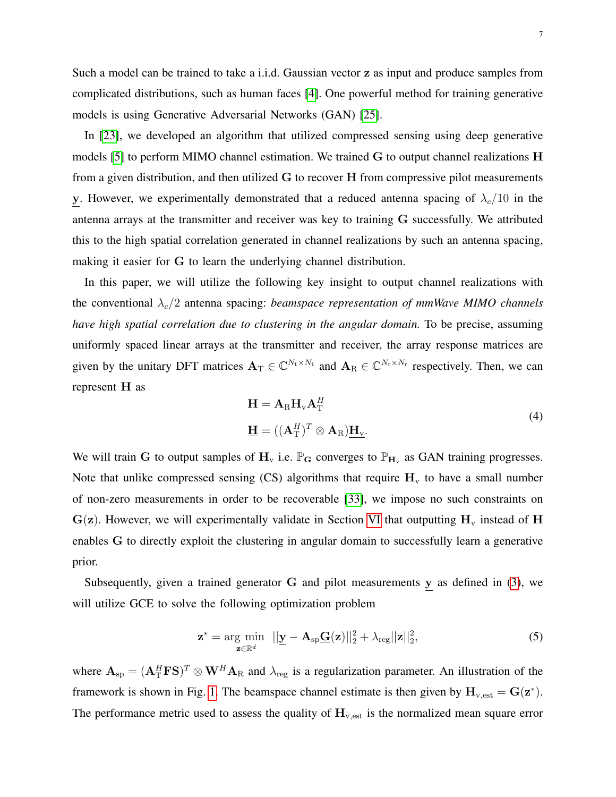Such a model can be trained to take a i.i.d. Gaussian vector z as input and produce samples from complicated distributions, such as human faces [\[4\]](#page-29-3). One powerful method for training generative models is using Generative Adversarial Networks (GAN) [\[25\]](#page-30-3).

In [\[23\]](#page-30-1), we developed an algorithm that utilized compressed sensing using deep generative models [\[5\]](#page-29-4) to perform MIMO channel estimation. We trained G to output channel realizations H from a given distribution, and then utilized G to recover H from compressive pilot measurements y. However, we experimentally demonstrated that a reduced antenna spacing of  $\lambda_c/10$  in the antenna arrays at the transmitter and receiver was key to training G successfully. We attributed this to the high spatial correlation generated in channel realizations by such an antenna spacing, making it easier for G to learn the underlying channel distribution.

In this paper, we will utilize the following key insight to output channel realizations with the conventional  $\lambda_c/2$  antenna spacing: *beamspace representation of mmWave MIMO channels have high spatial correlation due to clustering in the angular domain.* To be precise, assuming uniformly spaced linear arrays at the transmitter and receiver, the array response matrices are given by the unitary DFT matrices  $A_T \in \mathbb{C}^{N_t \times N_t}$  and  $A_R \in \mathbb{C}^{N_r \times N_r}$  respectively. Then, we can represent H as

<span id="page-6-0"></span>
$$
\mathbf{H} = \mathbf{A}_{\mathrm{R}} \mathbf{H}_{\mathrm{v}} \mathbf{A}_{\mathrm{T}}^{H}
$$
\n
$$
\underline{\mathbf{H}} = ((\mathbf{A}_{\mathrm{T}}^{H})^{T} \otimes \mathbf{A}_{\mathrm{R}}) \underline{\mathbf{H}}_{\mathrm{v}}.
$$
\n(4)

We will train G to output samples of  $H_v$  i.e.  $\mathbb{P}_G$  converges to  $\mathbb{P}_{H_v}$  as GAN training progresses. Note that unlike compressed sensing (CS) algorithms that require  $H<sub>v</sub>$  to have a small number of non-zero measurements in order to be recoverable [\[33\]](#page-30-11), we impose no such constraints on  $G(z)$ . However, we will experimentally validate in Section [VI](#page-19-0) that outputting  $H<sub>v</sub>$  instead of H enables G to directly exploit the clustering in angular domain to successfully learn a generative prior.

Subsequently, given a trained generator  $G$  and pilot measurements  $y$  as defined in [\(3\)](#page-5-3), we will utilize GCE to solve the following optimization problem

<span id="page-6-1"></span>
$$
\mathbf{z}^* = \underset{\mathbf{z} \in \mathbb{R}^d}{\arg \min} \quad ||\mathbf{y} - \mathbf{A}_{\text{sp}}\mathbf{\underline{G}}(\mathbf{z})||_2^2 + \lambda_{\text{reg}} ||\mathbf{z}||_2^2, \tag{5}
$$

where  $A_{sp} = (A_T^H F S)^T \otimes W^H A_R$  and  $\lambda_{reg}$  is a regularization parameter. An illustration of the framework is shown in Fig. [1.](#page-7-1) The beamspace channel estimate is then given by  $H_{v,est} = G(z^*)$ . The performance metric used to assess the quality of  $H_{v,est}$  is the normalized mean square error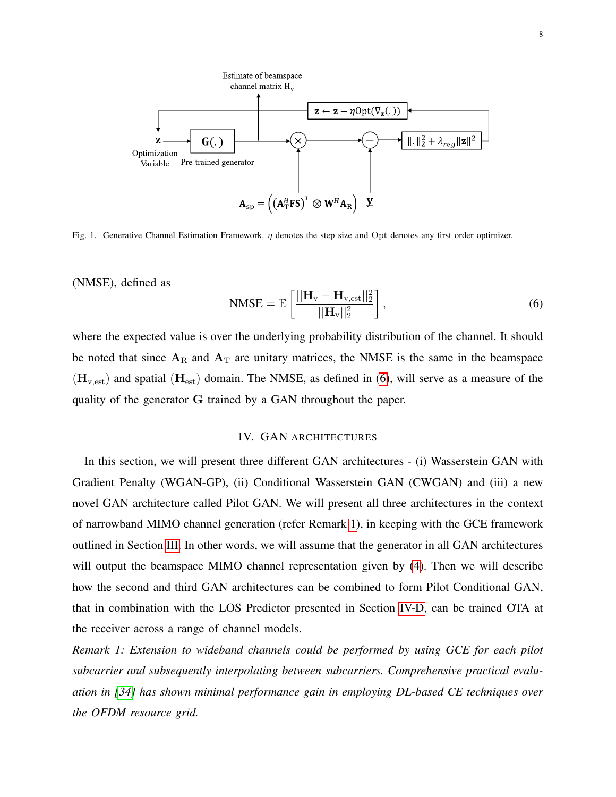

<span id="page-7-1"></span>Fig. 1. Generative Channel Estimation Framework. η denotes the step size and Opt denotes any first order optimizer.

(NMSE), defined as

<span id="page-7-2"></span>
$$
\text{NMSE} = \mathbb{E}\left[\frac{||\mathbf{H}_{\rm v} - \mathbf{H}_{\rm v, est}||_2^2}{||\mathbf{H}_{\rm v}||_2^2}\right],\tag{6}
$$

where the expected value is over the underlying probability distribution of the channel. It should be noted that since  $A_R$  and  $A_T$  are unitary matrices, the NMSE is the same in the beamspace  $(H_{v,est})$  and spatial  $(H_{est})$  domain. The NMSE, as defined in [\(6\)](#page-7-2), will serve as a measure of the quality of the generator G trained by a GAN throughout the paper.

## <span id="page-7-3"></span>IV. GAN ARCHITECTURES

<span id="page-7-0"></span>In this section, we will present three different GAN architectures - (i) Wasserstein GAN with Gradient Penalty (WGAN-GP), (ii) Conditional Wasserstein GAN (CWGAN) and (iii) a new novel GAN architecture called Pilot GAN. We will present all three architectures in the context of narrowband MIMO channel generation (refer Remark [1\)](#page-7-3), in keeping with the GCE framework outlined in Section [III.](#page-5-1) In other words, we will assume that the generator in all GAN architectures will output the beamspace MIMO channel representation given by [\(4\)](#page-6-0). Then we will describe how the second and third GAN architectures can be combined to form Pilot Conditional GAN, that in combination with the LOS Predictor presented in Section [IV-D,](#page-14-0) can be trained OTA at the receiver across a range of channel models.

*Remark 1: Extension to wideband channels could be performed by using GCE for each pilot subcarrier and subsequently interpolating between subcarriers. Comprehensive practical evaluation in [\[34\]](#page-30-12) has shown minimal performance gain in employing DL-based CE techniques over the OFDM resource grid.*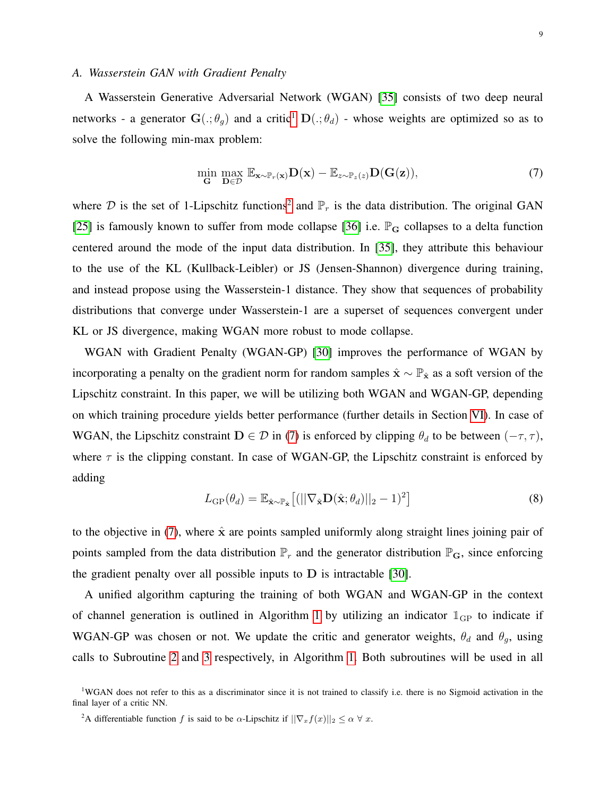#### *A. Wasserstein GAN with Gradient Penalty*

A Wasserstein Generative Adversarial Network (WGAN) [\[35\]](#page-30-13) consists of two deep neural networks - a generator  $\mathbf{G}(:, \theta_g)$  and a critic<sup>[1](#page-8-0)</sup>  $\mathbf{D}(:, \theta_d)$  - whose weights are optimized so as to solve the following min-max problem:

<span id="page-8-2"></span>
$$
\min_{\mathbf{G}} \max_{\mathbf{D} \in \mathcal{D}} \mathbb{E}_{\mathbf{x} \sim \mathbb{P}_r(\mathbf{x})} \mathbf{D}(\mathbf{x}) - \mathbb{E}_{z \sim \mathbb{P}_z(z)} \mathbf{D}(\mathbf{G}(z)),\tag{7}
$$

where D is the set of 1-Lipschitz functions<sup>[2](#page-8-1)</sup> and  $\mathbb{P}_r$  is the data distribution. The original GAN [\[25\]](#page-30-3) is famously known to suffer from mode collapse [\[36\]](#page-30-14) i.e.  $\mathbb{P}_G$  collapses to a delta function centered around the mode of the input data distribution. In [\[35\]](#page-30-13), they attribute this behaviour to the use of the KL (Kullback-Leibler) or JS (Jensen-Shannon) divergence during training, and instead propose using the Wasserstein-1 distance. They show that sequences of probability distributions that converge under Wasserstein-1 are a superset of sequences convergent under KL or JS divergence, making WGAN more robust to mode collapse.

WGAN with Gradient Penalty (WGAN-GP) [\[30\]](#page-30-8) improves the performance of WGAN by incorporating a penalty on the gradient norm for random samples  $\hat{x} \sim \mathbb{P}_{\hat{x}}$  as a soft version of the Lipschitz constraint. In this paper, we will be utilizing both WGAN and WGAN-GP, depending on which training procedure yields better performance (further details in Section [VI\)](#page-19-0). In case of WGAN, the Lipschitz constraint  $D \in \mathcal{D}$  in [\(7\)](#page-8-2) is enforced by clipping  $\theta_d$  to be between  $(-\tau, \tau)$ , where  $\tau$  is the clipping constant. In case of WGAN-GP, the Lipschitz constraint is enforced by adding

$$
L_{GP}(\theta_d) = \mathbb{E}_{\hat{\mathbf{x}} \sim \mathbb{P}_{\hat{\mathbf{x}}}} \left[ (||\nabla_{\hat{\mathbf{x}}} \mathbf{D}(\hat{\mathbf{x}}; \theta_d)||_2 - 1)^2 \right]
$$
(8)

to the objective in [\(7\)](#page-8-2), where  $\hat{x}$  are points sampled uniformly along straight lines joining pair of points sampled from the data distribution  $\mathbb{P}_r$  and the generator distribution  $\mathbb{P}_G$ , since enforcing the gradient penalty over all possible inputs to  $D$  is intractable [\[30\]](#page-30-8).

A unified algorithm capturing the training of both WGAN and WGAN-GP in the context of channel generation is outlined in Algorithm [1](#page-9-0) by utilizing an indicator  $\mathbb{I}_{GP}$  to indicate if WGAN-GP was chosen or not. We update the critic and generator weights,  $\theta_d$  and  $\theta_g$ , using calls to Subroutine [2](#page-9-1) and [3](#page-9-2) respectively, in Algorithm [1.](#page-9-0) Both subroutines will be used in all

<span id="page-8-0"></span><sup>&</sup>lt;sup>1</sup>WGAN does not refer to this as a discriminator since it is not trained to classify i.e. there is no Sigmoid activation in the final layer of a critic NN.

<span id="page-8-1"></span><sup>&</sup>lt;sup>2</sup>A differentiable function f is said to be  $\alpha$ -Lipschitz if  $||\nabla_x f(x)||_2 \leq \alpha \ \forall \ x$ .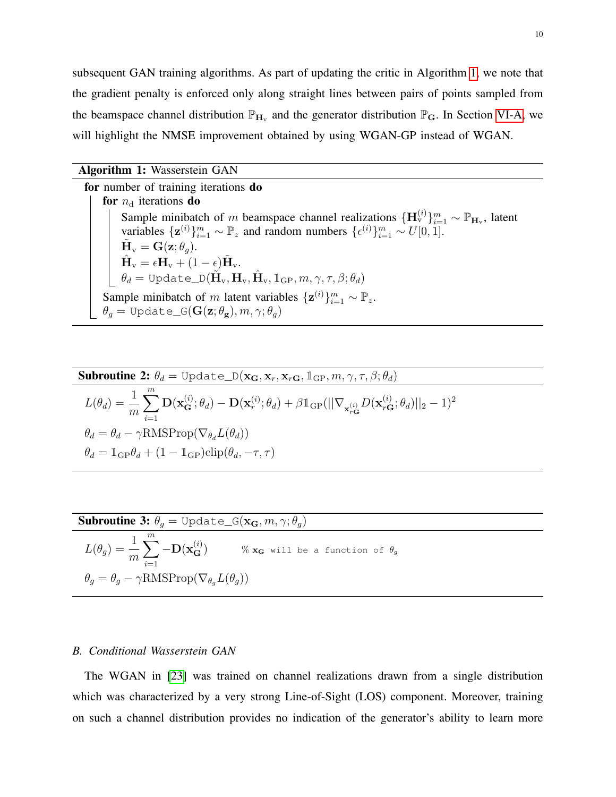subsequent GAN training algorithms. As part of updating the critic in Algorithm [1,](#page-9-0) we note that the gradient penalty is enforced only along straight lines between pairs of points sampled from the beamspace channel distribution  $\mathbb{P}_{H_v}$  and the generator distribution  $\mathbb{P}_G$ . In Section [VI-A,](#page-19-1) we will highlight the NMSE improvement obtained by using WGAN-GP instead of WGAN.

## Algorithm 1: Wasserstein GAN

for number of training iterations do for  $n_d$  iterations do Sample minibatch of m beamspace channel realizations  $\{\mathbf{H}_{v}^{(i)}\}_{i=1}^{m} \sim \mathbb{P}_{\mathbf{H}_{v}}$ , latent variables  $\{z^{(i)}\}_{i=1}^m \sim \mathbb{P}_z$  and random numbers  $\{\epsilon^{(i)}\}_{i=1}^m \sim U[0, 1].$  $\tilde{\mathbf{H}}_{\text{v}} = \mathbf{G}(\mathbf{z}; \theta_g).$  $\hat{\mathbf{H}}_{\text{v}} = \epsilon \mathbf{H}_{\text{v}} + (1 - \epsilon) \tilde{\mathbf{H}}_{\text{v}}.$  $\theta_d = \texttt{Update\_D}(\tilde{\mathbf{H}}_{\text{v}}, \mathbf{H}_{\text{v}}, \hat{\mathbf{H}}_{\text{v}}, \mathbb{1}_{\text{GP}}, m, \gamma, \tau, \beta; \theta_d)$ Sample minibatch of m latent variables  $\{z^{(i)}\}_{i=1}^m \sim \mathbb{P}_z$ .  $\theta_g = \text{Update_G}(G(z; \theta_g), m, \gamma; \theta_g)$ 

<span id="page-9-0"></span>Subroutine 2: 
$$
\theta_d = \text{Update}_D(\mathbf{x_G}, \mathbf{x}_r, \mathbf{x}_{rG}, \mathbb{1}_{GP}, m, \gamma, \tau, \beta; \theta_d)
$$
  
\n
$$
L(\theta_d) = \frac{1}{m} \sum_{i=1}^m \mathbf{D}(\mathbf{x}_G^{(i)}; \theta_d) - \mathbf{D}(\mathbf{x}_r^{(i)}; \theta_d) + \beta \mathbb{1}_{GP}(||\nabla_{\mathbf{x}_{rG}^{(i)}} D(\mathbf{x}_{rG}^{(i)}; \theta_d)||_2 - 1)^2
$$
\n
$$
\theta_d = \theta_d - \gamma \text{RMSProp}(\nabla_{\theta_d} L(\theta_d))
$$
\n
$$
\theta_d = \mathbb{1}_{GP} \theta_d + (1 - \mathbb{1}_{GP}) \text{clip}(\theta_d, -\tau, \tau)
$$

<span id="page-9-2"></span><span id="page-9-1"></span>Subroutine 3: 
$$
\theta_g
$$
 = Update\_G( $\mathbf{x_G}, m, \gamma; \theta_g$ )  
\n
$$
L(\theta_g) = \frac{1}{m} \sum_{i=1}^{m} -D(\mathbf{x}_G^{(i)})
$$
\n%  $\mathbf{x_G}$  will be a function of  $\theta_g$   
\n $\theta_g = \theta_g - \gamma \text{RMSProp}(\nabla_{\theta_g} L(\theta_g))$ 

## <span id="page-9-3"></span>*B. Conditional Wasserstein GAN*

The WGAN in [\[23\]](#page-30-1) was trained on channel realizations drawn from a single distribution which was characterized by a very strong Line-of-Sight (LOS) component. Moreover, training on such a channel distribution provides no indication of the generator's ability to learn more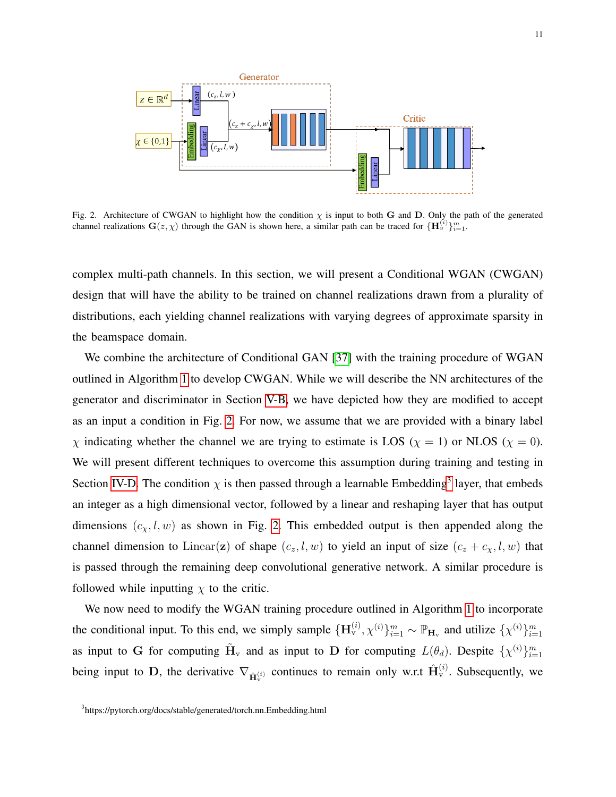

<span id="page-10-0"></span>Fig. 2. Architecture of CWGAN to highlight how the condition  $\chi$  is input to both G and D. Only the path of the generated channel realizations  $G(z, \chi)$  through the GAN is shown here, a similar path can be traced for  $\{H_v^{(i)}\}_{i=1}^m$ .

complex multi-path channels. In this section, we will present a Conditional WGAN (CWGAN) design that will have the ability to be trained on channel realizations drawn from a plurality of distributions, each yielding channel realizations with varying degrees of approximate sparsity in the beamspace domain.

We combine the architecture of Conditional GAN [\[37\]](#page-30-15) with the training procedure of WGAN outlined in Algorithm [1](#page-9-0) to develop CWGAN. While we will describe the NN architectures of the generator and discriminator in Section [V-B,](#page-17-0) we have depicted how they are modified to accept as an input a condition in Fig. [2.](#page-10-0) For now, we assume that we are provided with a binary label  $\chi$  indicating whether the channel we are trying to estimate is LOS ( $\chi = 1$ ) or NLOS ( $\chi = 0$ ). We will present different techniques to overcome this assumption during training and testing in Section [IV-D.](#page-14-0) The condition  $\chi$  is then passed through a learnable Embedding<sup>[3](#page-10-1)</sup> layer, that embeds an integer as a high dimensional vector, followed by a linear and reshaping layer that has output dimensions  $(c_x, l, w)$  as shown in Fig. [2.](#page-10-0) This embedded output is then appended along the channel dimension to Linear(z) of shape  $(c_z, l, w)$  to yield an input of size  $(c_z + c_x, l, w)$  that is passed through the remaining deep convolutional generative network. A similar procedure is followed while inputting  $\chi$  to the critic.

We now need to modify the WGAN training procedure outlined in Algorithm [1](#page-9-0) to incorporate the conditional input. To this end, we simply sample  $\{\mathbf{H}_{v}^{(i)}, \chi^{(i)}\}_{i=1}^{m} \sim \mathbb{P}_{\mathbf{H}_{v}}$  and utilize  $\{\chi^{(i)}\}_{i=1}^{m}$ as input to G for computing  $\tilde{H}_{v}$  and as input to D for computing  $L(\theta_d)$ . Despite  $\{\chi^{(i)}\}_{i=1}^m$ being input to D, the derivative  $\nabla_{\hat{H}_{\mathbf{v}}^{(i)}}$  continues to remain only w.r.t  $\hat{H}_{\mathbf{v}}^{(i)}$ . Subsequently, we

<span id="page-10-1"></span><sup>&</sup>lt;sup>3</sup>https://pytorch.org/docs/stable/generated/torch.nn.Embedding.html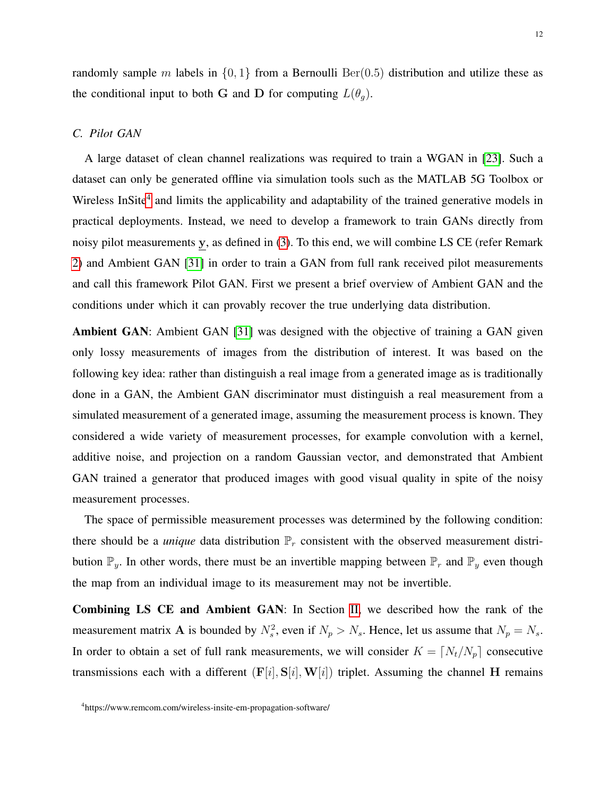randomly sample m labels in  $\{0, 1\}$  from a Bernoulli Ber(0.5) distribution and utilize these as the conditional input to both G and D for computing  $L(\theta_a)$ .

## <span id="page-11-1"></span>*C. Pilot GAN*

A large dataset of clean channel realizations was required to train a WGAN in [\[23\]](#page-30-1). Such a dataset can only be generated offline via simulation tools such as the MATLAB 5G Toolbox or Wireless InSite<sup>[4](#page-11-0)</sup> and limits the applicability and adaptability of the trained generative models in practical deployments. Instead, we need to develop a framework to train GANs directly from noisy pilot measurements y, as defined in [\(3\)](#page-5-3). To this end, we will combine LS CE (refer Remark [2\)](#page-13-0) and Ambient GAN [\[31\]](#page-30-9) in order to train a GAN from full rank received pilot measurements and call this framework Pilot GAN. First we present a brief overview of Ambient GAN and the conditions under which it can provably recover the true underlying data distribution.

Ambient GAN: Ambient GAN [\[31\]](#page-30-9) was designed with the objective of training a GAN given only lossy measurements of images from the distribution of interest. It was based on the following key idea: rather than distinguish a real image from a generated image as is traditionally done in a GAN, the Ambient GAN discriminator must distinguish a real measurement from a simulated measurement of a generated image, assuming the measurement process is known. They considered a wide variety of measurement processes, for example convolution with a kernel, additive noise, and projection on a random Gaussian vector, and demonstrated that Ambient GAN trained a generator that produced images with good visual quality in spite of the noisy measurement processes.

The space of permissible measurement processes was determined by the following condition: there should be a *unique* data distribution  $\mathbb{P}_r$  consistent with the observed measurement distribution  $\mathbb{P}_y$ . In other words, there must be an invertible mapping between  $\mathbb{P}_r$  and  $\mathbb{P}_y$  even though the map from an individual image to its measurement may not be invertible.

Combining LS CE and Ambient GAN: In Section [II,](#page-5-0) we described how the rank of the measurement matrix **A** is bounded by  $N_s^2$ , even if  $N_p > N_s$ . Hence, let us assume that  $N_p = N_s$ . In order to obtain a set of full rank measurements, we will consider  $K = [N_t/N_p]$  consecutive transmissions each with a different  $(F[i], S[i], W[i])$  triplet. Assuming the channel H remains

<span id="page-11-0"></span><sup>4</sup> https://www.remcom.com/wireless-insite-em-propagation-software/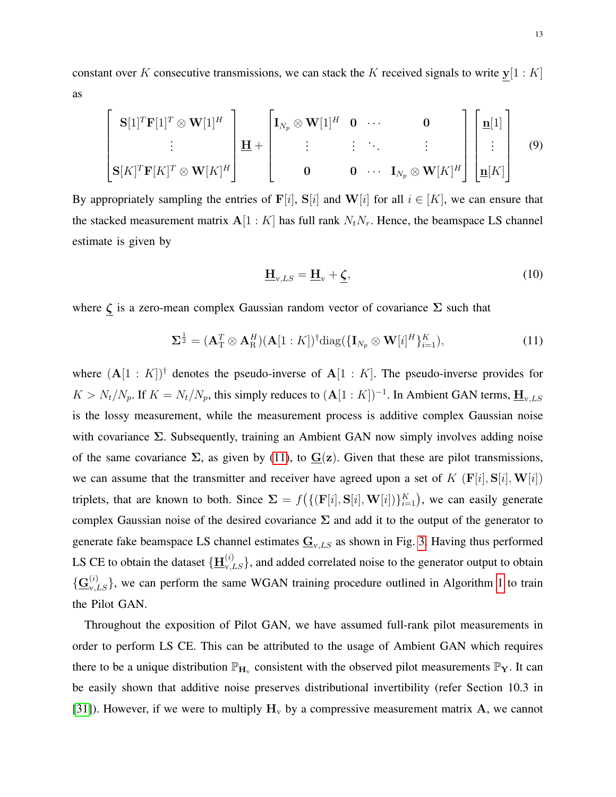constant over K consecutive transmissions, we can stack the K received signals to write  $y[1 : K]$ as

<span id="page-12-2"></span>
$$
\begin{bmatrix}\n\mathbf{S}[1]^T \mathbf{F}[1]^T \otimes \mathbf{W}[1]^H \\
\vdots \\
\mathbf{S}[K]^T \mathbf{F}[K]^T \otimes \mathbf{W}[K]^H\n\end{bmatrix}\n\mathbf{H} + \begin{bmatrix}\n\mathbf{I}_{N_p} \otimes \mathbf{W}[1]^H & \mathbf{0} & \cdots & \mathbf{0} \\
\vdots & \vdots & \ddots & \vdots \\
\mathbf{0} & \mathbf{0} & \cdots & \mathbf{I}_{N_p} \otimes \mathbf{W}[K]^H\n\end{bmatrix}\n\begin{bmatrix}\n\mathbf{n}[1] \\
\vdots \\
\mathbf{n}[K]\n\end{bmatrix}
$$
\n(9)

By appropriately sampling the entries of F[i], S[i] and W[i] for all  $i \in [K]$ , we can ensure that the stacked measurement matrix  $A[1:K]$  has full rank  $N_tN_r$ . Hence, the beamspace LS channel estimate is given by

<span id="page-12-1"></span>
$$
\underline{\mathbf{H}}_{\mathbf{v},LS} = \underline{\mathbf{H}}_{\mathbf{v}} + \underline{\boldsymbol{\zeta}},\tag{10}
$$

where  $\zeta$  is a zero-mean complex Gaussian random vector of covariance  $\Sigma$  such that

<span id="page-12-0"></span>
$$
\Sigma^{\frac{1}{2}} = (\mathbf{A}_{\mathrm{T}}^T \otimes \mathbf{A}_{\mathrm{R}}^H)(\mathbf{A}[1:K])^{\dagger} \text{diag}(\{\mathbf{I}_{N_p} \otimes \mathbf{W}[i]^H\}_{i=1}^K),
$$
(11)

where  $(A[1:K])^{\dagger}$  denotes the pseudo-inverse of  $A[1:K]$ . The pseudo-inverse provides for  $K > N_t/N_p$ . If  $K = N_t/N_p$ , this simply reduces to  $(A[1:K])^{-1}$ . In Ambient GAN terms,  $\underline{H}_{v,LS}$ is the lossy measurement, while the measurement process is additive complex Gaussian noise with covariance  $\Sigma$ . Subsequently, training an Ambient GAN now simply involves adding noise of the same covariance  $\Sigma$ , as given by [\(11\)](#page-12-0), to  $G(z)$ . Given that these are pilot transmissions, we can assume that the transmitter and receiver have agreed upon a set of K  $(F[i], S[i], W[i])$ triplets, that are known to both. Since  $\Sigma = f(\{(\mathbf{F}[i], \mathbf{S}[i], \mathbf{W}[i])\}_{i=1}^K)$ , we can easily generate complex Gaussian noise of the desired covariance  $\Sigma$  and add it to the output of the generator to generate fake beamspace LS channel estimates  $\underline{G}_{v,LS}$  as shown in Fig. [3.](#page-13-1) Having thus performed LS CE to obtain the dataset  $\{\underline{\mathbf{H}}_{v,LS}^{(i)}\}$ , and added correlated noise to the generator output to obtain  $\{\mathbf G_{\mathbf v,LS}^{(i)}\}$ , we can perform the same WGAN training procedure outlined in Algorithm [1](#page-9-0) to train the Pilot GAN.

Throughout the exposition of Pilot GAN, we have assumed full-rank pilot measurements in order to perform LS CE. This can be attributed to the usage of Ambient GAN which requires there to be a unique distribution  $\mathbb{P}_{H_v}$  consistent with the observed pilot measurements  $\mathbb{P}_Y$ . It can be easily shown that additive noise preserves distributional invertibility (refer Section 10.3 in [\[31\]](#page-30-9)). However, if we were to multiply  $H_v$  by a compressive measurement matrix A, we cannot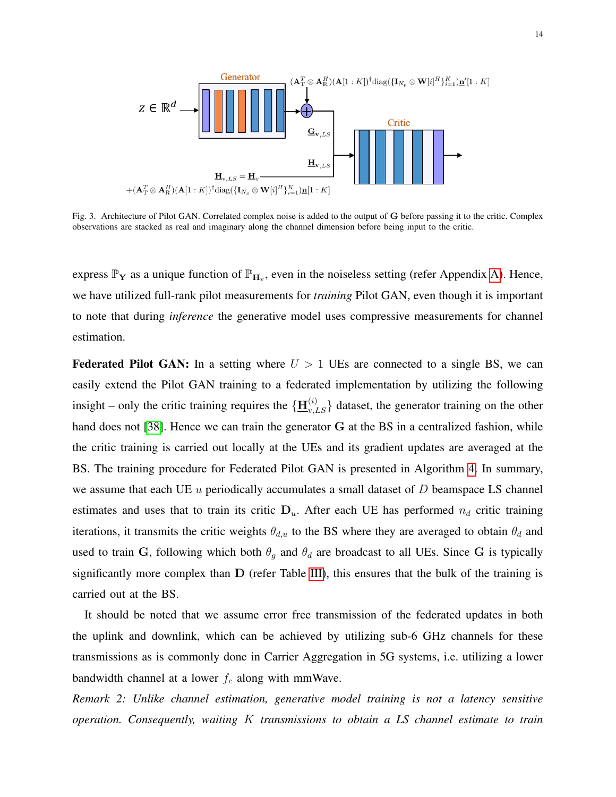

<span id="page-13-1"></span>Fig. 3. Architecture of Pilot GAN. Correlated complex noise is added to the output of G before passing it to the critic. Complex observations are stacked as real and imaginary along the channel dimension before being input to the critic.

express  $\mathbb{P}_Y$  as a unique function of  $\mathbb{P}_{H_v}$ , even in the noiseless setting (refer Appendix [A\)](#page-32-0). Hence, we have utilized full-rank pilot measurements for *training* Pilot GAN, even though it is important to note that during *inference* the generative model uses compressive measurements for channel estimation.

**Federated Pilot GAN:** In a setting where  $U > 1$  UEs are connected to a single BS, we can easily extend the Pilot GAN training to a federated implementation by utilizing the following insight – only the critic training requires the  $\{\underline{H}_{v,LS}^{(i)}\}$  dataset, the generator training on the other hand does not [\[38\]](#page-30-16). Hence we can train the generator G at the BS in a centralized fashion, while the critic training is carried out locally at the UEs and its gradient updates are averaged at the BS. The training procedure for Federated Pilot GAN is presented in Algorithm [4.](#page-14-1) In summary, we assume that each UE  $u$  periodically accumulates a small dataset of  $D$  beamspace LS channel estimates and uses that to train its critic  $D_u$ . After each UE has performed  $n_d$  critic training iterations, it transmits the critic weights  $\theta_{d,u}$  to the BS where they are averaged to obtain  $\theta_d$  and used to train G, following which both  $\theta_q$  and  $\theta_d$  are broadcast to all UEs. Since G is typically significantly more complex than  $D$  (refer Table [III\)](#page-18-0), this ensures that the bulk of the training is carried out at the BS.

It should be noted that we assume error free transmission of the federated updates in both the uplink and downlink, which can be achieved by utilizing sub-6 GHz channels for these transmissions as is commonly done in Carrier Aggregation in 5G systems, i.e. utilizing a lower bandwidth channel at a lower  $f_c$  along with mmWave.

<span id="page-13-0"></span>*Remark 2: Unlike channel estimation, generative model training is not a latency sensitive operation. Consequently, waiting* K *transmissions to obtain a LS channel estimate to train*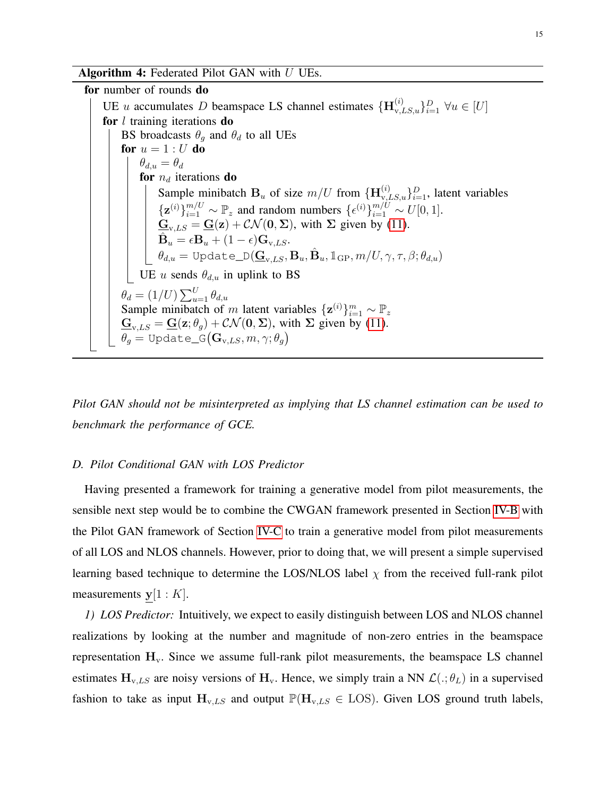Algorithm 4: Federated Pilot GAN with  $U$  UEs.

for number of rounds do UE u accumulates D beamspace LS channel estimates  $\{\mathbf{H}_{v,LS,u}^{(i)}\}_{i=1}^D \forall u \in [U]$ for  $l$  training iterations do BS broadcasts  $\theta_g$  and  $\theta_d$  to all UEs for  $u = 1 : U$  do  $\theta_{d,u} = \theta_d$ for  $n_d$  iterations do Sample minibatch  $B_u$  of size  $m/U$  from  $\{\mathbf{H}_{v,LS,u}^{(i)}\}_{i=1}^D$ , latent variables  $\{\mathbf{z}^{(i)}\}_{i=1}^{m/U} \sim \mathbb{P}_z$  and random numbers  $\{\epsilon^{(i)}\}_{i=1}^{m/U} \sim U[0, 1].$  $\underline{\mathbf{G}}_{\mathbf{v},LS} = \underline{\mathbf{G}}(\mathbf{z}) + \mathcal{CN}(\mathbf{0}, \boldsymbol{\Sigma})$ , with  $\Sigma$  given by [\(11\)](#page-12-0).  $\hat{\textbf{B}}_{u}=\epsilon\textbf{B}_{u}+(1-\epsilon)\textbf{G}_{\text{v},LS}.$  $\theta_{d,u} = \texttt{Update\_D}(\underline{\mathbf{G}}_{\text{v},LS},\mathbf{B}_{u},\hat{\mathbf{B}}_{u}, \mathbb{1}_{\text{GP}}, m/U,\gamma,\tau,\beta;\theta_{d,u})$ UE u sends  $\theta_{d,u}$  in uplink to BS  $\theta_d = (1/U) \sum_{u=1}^U \theta_{d,u}$ Sample minibatch of m latent variables  $\{z^{(i)}\}_{i=1}^m \sim \mathbb{P}_z$  $\underline{\mathbf{G}}_{v,LS} = \underline{\mathbf{G}}(\mathbf{z}; \theta_g) + \mathcal{CN}(\mathbf{0}, \boldsymbol{\Sigma})$ , with  $\Sigma$  given by [\(11\)](#page-12-0).  $\theta_g = \texttt{Update\_G}\big(\mathbf{G}_{{\rm v},LS}, m, \gamma; \theta_g\big)$ 

<span id="page-14-1"></span>*Pilot GAN should not be misinterpreted as implying that LS channel estimation can be used to benchmark the performance of GCE.*

#### <span id="page-14-0"></span>*D. Pilot Conditional GAN with LOS Predictor*

Having presented a framework for training a generative model from pilot measurements, the sensible next step would be to combine the CWGAN framework presented in Section [IV-B](#page-9-3) with the Pilot GAN framework of Section [IV-C](#page-11-1) to train a generative model from pilot measurements of all LOS and NLOS channels. However, prior to doing that, we will present a simple supervised learning based technique to determine the LOS/NLOS label  $\chi$  from the received full-rank pilot measurements  $y[1:K]$ .

*1) LOS Predictor:* Intuitively, we expect to easily distinguish between LOS and NLOS channel realizations by looking at the number and magnitude of non-zero entries in the beamspace representation  $H_v$ . Since we assume full-rank pilot measurements, the beamspace LS channel estimates  $H_{v,LS}$  are noisy versions of  $H_v$ . Hence, we simply train a NN  $\mathcal{L}(:, \theta_L)$  in a supervised fashion to take as input  $H_{v,LS}$  and output  $\mathbb{P}(H_{v,LS} \in LOS)$ . Given LOS ground truth labels,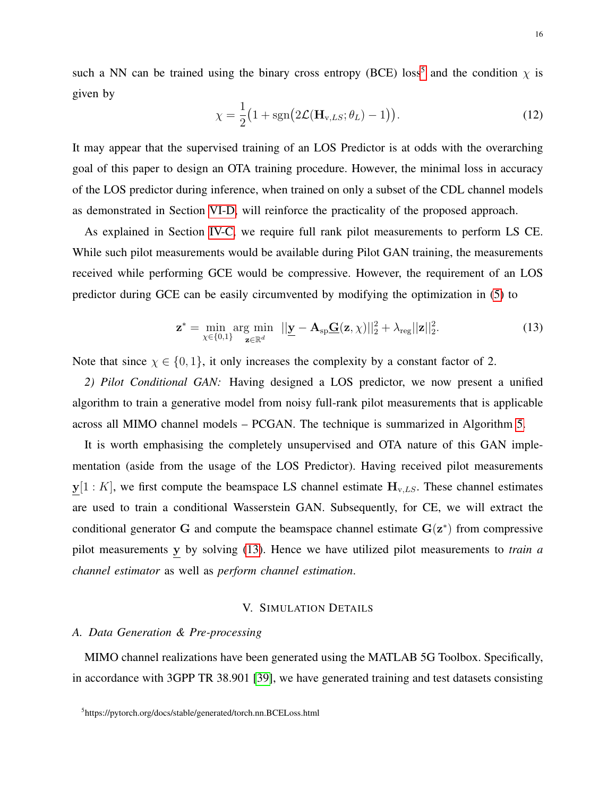such a NN can be trained using the binary cross entropy (BCE) loss<sup>[5](#page-15-1)</sup> and the condition  $\chi$  is given by

<span id="page-15-3"></span>
$$
\chi = \frac{1}{2} \big( 1 + \text{sgn} \big( 2 \mathcal{L} (\mathbf{H}_{v,LS}; \theta_L) - 1 \big) \big). \tag{12}
$$

It may appear that the supervised training of an LOS Predictor is at odds with the overarching goal of this paper to design an OTA training procedure. However, the minimal loss in accuracy of the LOS predictor during inference, when trained on only a subset of the CDL channel models as demonstrated in Section [VI-D,](#page-26-0) will reinforce the practicality of the proposed approach.

As explained in Section [IV-C,](#page-11-1) we require full rank pilot measurements to perform LS CE. While such pilot measurements would be available during Pilot GAN training, the measurements received while performing GCE would be compressive. However, the requirement of an LOS predictor during GCE can be easily circumvented by modifying the optimization in [\(5\)](#page-6-1) to

<span id="page-15-2"></span>
$$
\mathbf{z}^* = \min_{\chi \in \{0,1\}} \arg \min_{\mathbf{z} \in \mathbb{R}^d} \|\mathbf{y} - \mathbf{A}_{\text{sp}}\mathbf{\underline{G}}(\mathbf{z}, \chi)\|_2^2 + \lambda_{\text{reg}} \|\mathbf{z}\|_2^2. \tag{13}
$$

Note that since  $\chi \in \{0, 1\}$ , it only increases the complexity by a constant factor of 2.

*2) Pilot Conditional GAN:* Having designed a LOS predictor, we now present a unified algorithm to train a generative model from noisy full-rank pilot measurements that is applicable across all MIMO channel models – PCGAN. The technique is summarized in Algorithm [5.](#page-16-0)

It is worth emphasising the completely unsupervised and OTA nature of this GAN implementation (aside from the usage of the LOS Predictor). Having received pilot measurements  $y[1:K]$ , we first compute the beamspace LS channel estimate  $H_{v,LS}$ . These channel estimates are used to train a conditional Wasserstein GAN. Subsequently, for CE, we will extract the conditional generator G and compute the beamspace channel estimate  $G(z^*)$  from compressive pilot measurements y by solving [\(13\)](#page-15-2). Hence we have utilized pilot measurements to *train a channel estimator* as well as *perform channel estimation*.

#### V. SIMULATION DETAILS

#### <span id="page-15-0"></span>*A. Data Generation & Pre-processing*

<span id="page-15-1"></span>MIMO channel realizations have been generated using the MATLAB 5G Toolbox. Specifically, in accordance with 3GPP TR 38.901 [\[39\]](#page-30-17), we have generated training and test datasets consisting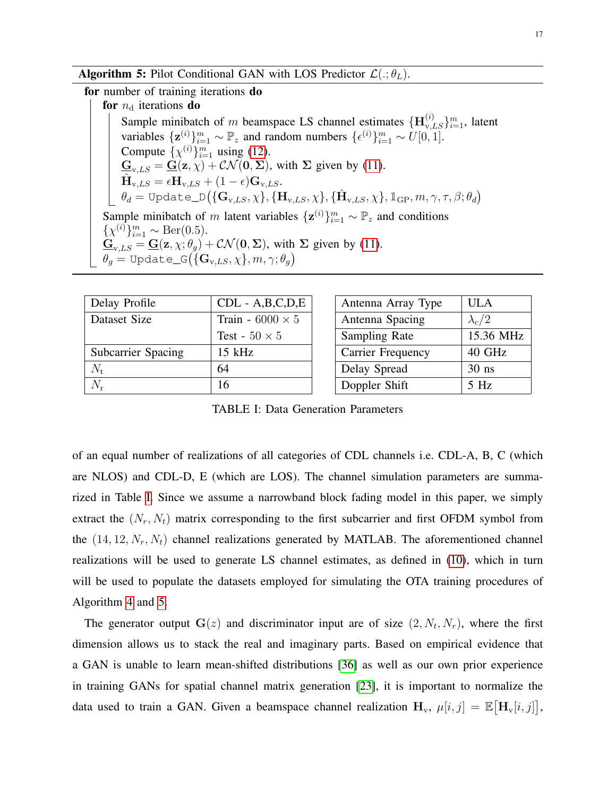**Algorithm 5:** Pilot Conditional GAN with LOS Predictor  $\mathcal{L}(.; \theta_L)$ .

for number of training iterations do

for  $n_d$  iterations do

Sample minibatch of m beamspace LS channel estimates  $\{\mathbf{H}_{v,LS}^{(i)}\}_{i=1}^m$ , latent variables  $\{z^{(i)}\}_{i=1}^m \sim \mathbb{P}_z$  and random numbers  $\{\epsilon^{(i)}\}_{i=1}^m \sim U[0, 1].$ Compute  $\{\chi^{(i)}\}_{i=1}^m$  using [\(12\)](#page-15-3).  $\underline{\mathbf{G}}_{v,LS} = \underline{\mathbf{G}}(\mathbf{z}, \chi) + \mathcal{CN}(\mathbf{0}, \Sigma)$ , with  $\Sigma$  given by [\(11\)](#page-12-0).  $\hat{\textbf{H}}_{\text{v},LS} = \epsilon \textbf{H}_{\text{v},LS} + (1-\epsilon) \textbf{G}_{\text{v},LS}.$  $\theta_d = \texttt{Update\_D}\big(\{\mathbf{G}_{\text{v},LS}, \chi\}, \{\mathbf{H}_{\text{v},LS}, \chi\}, \{\hat{\mathbf{H}}_{\text{v},LS}, \chi\}, \mathbb{1}_{\text{GP}}, m, \gamma, \tau, \beta; \theta_d\big)$ Sample minibatch of m latent variables  $\{z^{(i)}\}_{i=1}^m \sim \mathbb{P}_z$  and conditions  $\{\chi^{(i)}\}_{i=1}^m \sim \text{Ber}(0.5).$  $\underline{\mathbf{G}}_{v,LS} = \underline{\mathbf{G}}(\mathbf{z}, \chi; \theta_g) + \mathcal{CN}(\mathbf{0}, \Sigma)$ , with  $\Sigma$  given by [\(11\)](#page-12-0).  $\theta_g = \texttt{Update\_G}\big(\{\mathbf{G}_{\text{v},LS}, \chi\}, m, \gamma; \theta_g\big)$ 

<span id="page-16-1"></span><span id="page-16-0"></span>

| Delay Profile             | $CDL - A, B, C, D, E$   |  |  |
|---------------------------|-------------------------|--|--|
| Dataset Size              | Train - 6000 $\times$ 5 |  |  |
|                           | Test - $50 \times 5$    |  |  |
| <b>Subcarrier Spacing</b> | $15$ kHz                |  |  |
| $N_{\rm t}$               | 64                      |  |  |
| $N_{r}$                   | 16                      |  |  |

| Antenna Array Type       | <b>ULA</b>    |
|--------------------------|---------------|
| Antenna Spacing          | $\lambda_c/2$ |
| Sampling Rate            | 15.36 MHz     |
| <b>Carrier Frequency</b> | 40 GHz        |
| Delay Spread             | $30$ ns       |
| Doppler Shift            | $5$ Hz        |

TABLE I: Data Generation Parameters

of an equal number of realizations of all categories of CDL channels i.e. CDL-A, B, C (which are NLOS) and CDL-D, E (which are LOS). The channel simulation parameters are summarized in Table [I.](#page-16-1) Since we assume a narrowband block fading model in this paper, we simply extract the  $(N_r, N_t)$  matrix corresponding to the first subcarrier and first OFDM symbol from the  $(14, 12, N_r, N_t)$  channel realizations generated by MATLAB. The aforementioned channel realizations will be used to generate LS channel estimates, as defined in [\(10\)](#page-12-1), which in turn will be used to populate the datasets employed for simulating the OTA training procedures of Algorithm [4](#page-14-1) and [5.](#page-16-0)

The generator output  $\mathbf{G}(z)$  and discriminator input are of size  $(2, N_t, N_r)$ , where the first dimension allows us to stack the real and imaginary parts. Based on empirical evidence that a GAN is unable to learn mean-shifted distributions [\[36\]](#page-30-14) as well as our own prior experience in training GANs for spatial channel matrix generation [\[23\]](#page-30-1), it is important to normalize the data used to train a GAN. Given a beamspace channel realization  $H_v$ ,  $\mu[i, j] = \mathbb{E}[\mathbf{H}_v[i, j]]$ ,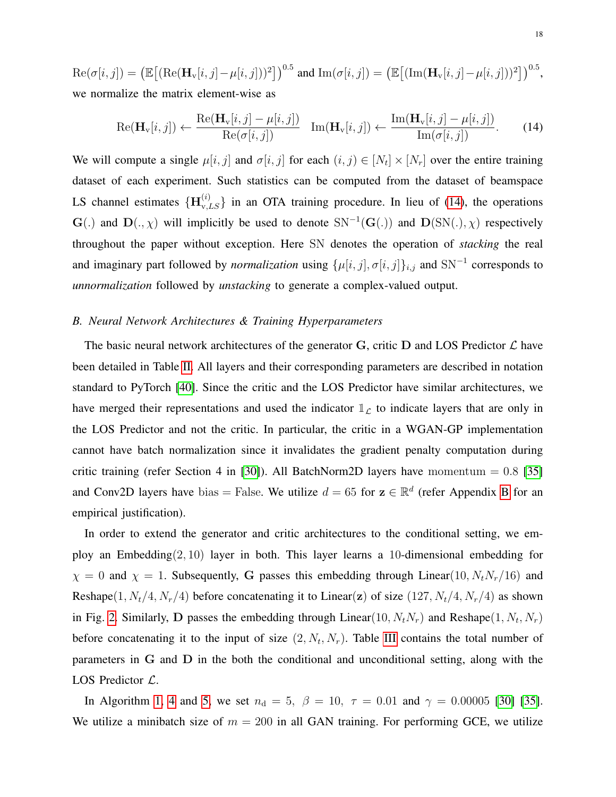$\text{Re}(\sigma[i,j]) = \left(\mathbb{E}\big[(\text{Re}(\mathbf{H}_{\text{v}}[i,j] - \mu[i,j]))^2\big]\right)^{0.5}$  and  $\text{Im}(\sigma[i,j]) = \left(\mathbb{E}\big[(\text{Im}(\mathbf{H}_{\text{v}}[i,j] - \mu[i,j]))^2\big]\right)^{0.5}$ , we normalize the matrix element-wise as

<span id="page-17-1"></span>
$$
\operatorname{Re}(\mathbf{H}_{\mathbf{v}}[i,j]) \leftarrow \frac{\operatorname{Re}(\mathbf{H}_{\mathbf{v}}[i,j] - \mu[i,j])}{\operatorname{Re}(\sigma[i,j])} \quad \operatorname{Im}(\mathbf{H}_{\mathbf{v}}[i,j]) \leftarrow \frac{\operatorname{Im}(\mathbf{H}_{\mathbf{v}}[i,j] - \mu[i,j])}{\operatorname{Im}(\sigma[i,j])}.\tag{14}
$$

We will compute a single  $\mu[i, j]$  and  $\sigma[i, j]$  for each  $(i, j) \in [N_t] \times [N_r]$  over the entire training dataset of each experiment. Such statistics can be computed from the dataset of beamspace LS channel estimates  ${H_{v,LS}^{(i)}}$  in an OTA training procedure. In lieu of [\(14\)](#page-17-1), the operations  $\mathbf{G}(.)$  and  $\mathbf{D}(.,\chi)$  will implicitly be used to denote  $SN^{-1}(\mathbf{G}(.))$  and  $\mathbf{D}(SN(.),\chi)$  respectively throughout the paper without exception. Here SN denotes the operation of *stacking* the real and imaginary part followed by *normalization* using  $\{\mu[i, j], \sigma[i, j]\}_{i,j}$  and  $\text{SN}^{-1}$  corresponds to *unnormalization* followed by *unstacking* to generate a complex-valued output.

#### <span id="page-17-0"></span>*B. Neural Network Architectures & Training Hyperparameters*

The basic neural network architectures of the generator G, critic D and LOS Predictor  $\mathcal L$  have been detailed in Table [II.](#page-18-1) All layers and their corresponding parameters are described in notation standard to PyTorch [\[40\]](#page-30-18). Since the critic and the LOS Predictor have similar architectures, we have merged their representations and used the indicator  $\mathbb{1}_{\mathcal{L}}$  to indicate layers that are only in the LOS Predictor and not the critic. In particular, the critic in a WGAN-GP implementation cannot have batch normalization since it invalidates the gradient penalty computation during critic training (refer Section 4 in [\[30\]](#page-30-8)). All BatchNorm2D layers have momentum =  $0.8$  [\[35\]](#page-30-13) and Conv2D layers have bias = False. We utilize  $d = 65$  for  $z \in \mathbb{R}^d$  (refer Appendix [B](#page-32-1) for an empirical justification).

In order to extend the generator and critic architectures to the conditional setting, we employ an Embedding $(2, 10)$  layer in both. This layer learns a 10-dimensional embedding for  $\chi = 0$  and  $\chi = 1$ . Subsequently, G passes this embedding through Linear(10,  $N_tN_r/16$ ) and Reshape(1,  $N_t/4$ ,  $N_r/4$ ) before concatenating it to Linear(z) of size (127,  $N_t/4$ ,  $N_r/4$ ) as shown in Fig. [2.](#page-10-0) Similarly, D passes the embedding through Linear(10,  $N_t N_r$ ) and Reshape(1,  $N_t$ ,  $N_r$ ) before concatenating it to the input of size  $(2, N_t, N_r)$ . Table [III](#page-18-0) contains the total number of parameters in G and D in the both the conditional and unconditional setting, along with the LOS Predictor  $\mathcal{L}$ .

In Algorithm [1,](#page-9-0) [4](#page-14-1) and [5,](#page-16-0) we set  $n_d = 5$ ,  $\beta = 10$ ,  $\tau = 0.01$  and  $\gamma = 0.00005$  [\[30\]](#page-30-8) [\[35\]](#page-30-13). We utilize a minibatch size of  $m = 200$  in all GAN training. For performing GCE, we utilize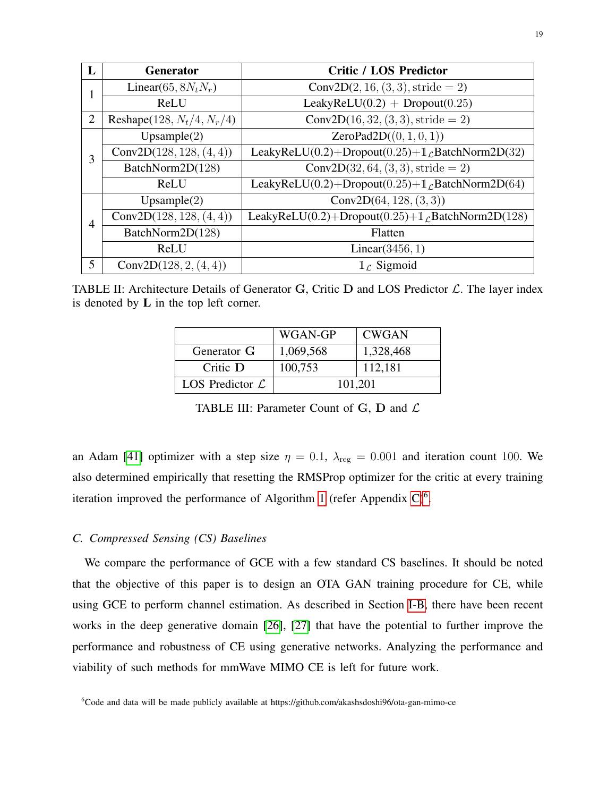<span id="page-18-1"></span>

| L              | <b>Generator</b>              | <b>Critic / LOS Predictor</b>                                             |
|----------------|-------------------------------|---------------------------------------------------------------------------|
|                | Linear(65, $8N_tN_r$ )        | $Conv2D(2, 16, (3, 3), stride = 2)$                                       |
|                | ReLU                          | LeakyReLU $(0.2)$ + Dropout $(0.25)$                                      |
| $\overline{2}$ | Reshape $(128, N_t/4, N_r/4)$ | $Conv2D(16, 32, (3, 3), stride = 2)$                                      |
|                | Upsample(2)                   | ZeroPad2D((0, 1, 0, 1))                                                   |
| 3              | Conv2D $(128, 128, (4, 4))$   | LeakyReLU(0.2)+Dropout(0.25)+ $\mathbb{1}_{\mathcal{L}}$ BatchNorm2D(32)  |
|                | BatchNorm2D(128)              | $Conv2D(32, 64, (3, 3), stride = 2)$                                      |
|                | ReLU                          | LeakyReLU(0.2)+Dropout(0.25)+ $\mathbb{1}_{\mathcal{L}}$ BatchNorm2D(64)  |
|                | Upsample $(2)$                | Conv2D $(64, 128, (3, 3))$                                                |
| $\overline{4}$ | Conv2D $(128, 128, (4, 4))$   | LeakyReLU(0.2)+Dropout(0.25)+ $\mathbb{1}_{\mathcal{L}}$ BatchNorm2D(128) |
|                | BatchNorm2D(128)              | Flatten                                                                   |
|                | ReLU                          | Linear $(3456, 1)$                                                        |
| 5              | Conv2D $(128, 2, (4, 4))$     | $\mathbb{1}_{\ell}$ Sigmoid                                               |

<span id="page-18-0"></span>TABLE II: Architecture Details of Generator G, Critic D and LOS Predictor  $\mathcal{L}$ . The layer index is denoted by  $L$  in the top left corner.

|                             | WGAN-GP            | <b>CWGAN</b> |  |
|-----------------------------|--------------------|--------------|--|
| Generator G                 | 1,069,568          | 1,328,468    |  |
| Critic $\mathbf D$          | 112,181<br>100,753 |              |  |
| LOS Predictor $\mathcal{L}$ | 101,201            |              |  |

TABLE III: Parameter Count of G, D and  $\mathcal L$ 

an Adam [\[41\]](#page-31-0) optimizer with a step size  $\eta = 0.1$ ,  $\lambda_{reg} = 0.001$  and iteration count 100. We also determined empirically that resetting the RMSProp optimizer for the critic at every training iteration improved the performance of Algorithm [1](#page-9-0) (refer Appendix  $C$ )<sup>[6](#page-18-2)</sup>.

## <span id="page-18-3"></span>*C. Compressed Sensing (CS) Baselines*

We compare the performance of GCE with a few standard CS baselines. It should be noted that the objective of this paper is to design an OTA GAN training procedure for CE, while using GCE to perform channel estimation. As described in Section [I-B,](#page-2-0) there have been recent works in the deep generative domain [\[26\]](#page-30-4), [\[27\]](#page-30-5) that have the potential to further improve the performance and robustness of CE using generative networks. Analyzing the performance and viability of such methods for mmWave MIMO CE is left for future work.

<span id="page-18-2"></span><sup>&</sup>lt;sup>6</sup>Code and data will be made publicly available at https://github.com/akashsdoshi96/ota-gan-mimo-ce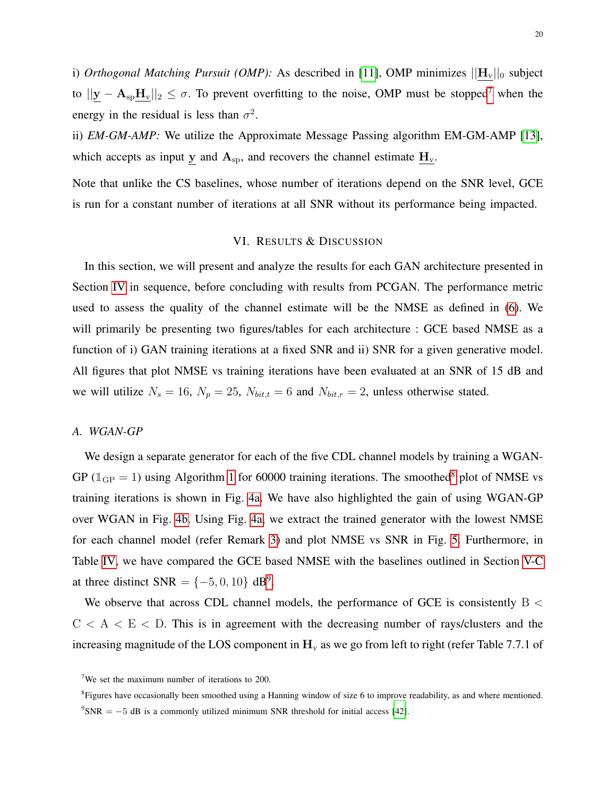i) *Orthogonal Matching Pursuit (OMP)*: As described in [\[11\]](#page-29-10), OMP minimizes  $||H_v||_0$  subject to  $||y - A_{\rm SD}H_v||_2 \le \sigma$ . To prevent overfitting to the noise, OMP must be stopped<sup>[7](#page-19-2)</sup> when the energy in the residual is less than  $\sigma^2$ .

ii) *EM-GM-AMP:* We utilize the Approximate Message Passing algorithm EM-GM-AMP [\[13\]](#page-29-12), which accepts as input y and  $A_{sp}$ , and recovers the channel estimate  $H_v$ .

Note that unlike the CS baselines, whose number of iterations depend on the SNR level, GCE is run for a constant number of iterations at all SNR without its performance being impacted.

## VI. RESULTS & DISCUSSION

<span id="page-19-0"></span>In this section, we will present and analyze the results for each GAN architecture presented in Section [IV](#page-7-0) in sequence, before concluding with results from PCGAN. The performance metric used to assess the quality of the channel estimate will be the NMSE as defined in [\(6\)](#page-7-2). We will primarily be presenting two figures/tables for each architecture : GCE based NMSE as a function of i) GAN training iterations at a fixed SNR and ii) SNR for a given generative model. All figures that plot NMSE vs training iterations have been evaluated at an SNR of 15 dB and we will utilize  $N_s = 16$ ,  $N_p = 25$ ,  $N_{bit,t} = 6$  and  $N_{bit,r} = 2$ , unless otherwise stated.

## <span id="page-19-1"></span>*A. WGAN-GP*

We design a separate generator for each of the five CDL channel models by training a WGAN-GP ( $\mathbb{1}_{GP} = 1$  $\mathbb{1}_{GP} = 1$ ) using Algorithm 1 for 60000 training iterations. The smoothed<sup>[8](#page-19-3)</sup> plot of NMSE vs training iterations is shown in Fig. [4a.](#page-20-0) We have also highlighted the gain of using WGAN-GP over WGAN in Fig. [4b.](#page-20-1) Using Fig. [4a,](#page-20-0) we extract the trained generator with the lowest NMSE for each channel model (refer Remark [3\)](#page-20-2) and plot NMSE vs SNR in Fig. [5.](#page-20-3) Furthermore, in Table [IV,](#page-21-0) we have compared the GCE based NMSE with the baselines outlined in Section [V-C](#page-18-3) at three distinct  $SNR = \{-5, 0, 10\}$  dB<sup>[9](#page-19-4)</sup>.

We observe that across CDL channel models, the performance of GCE is consistently  $B <$  $C < A < E < D$ . This is in agreement with the decreasing number of rays/clusters and the increasing magnitude of the LOS component in  $H_v$  as we go from left to right (refer Table 7.7.1 of

<span id="page-19-2"></span><sup>&</sup>lt;sup>7</sup>We set the maximum number of iterations to 200.

<span id="page-19-4"></span><span id="page-19-3"></span><sup>&</sup>lt;sup>8</sup>Figures have occasionally been smoothed using a Hanning window of size 6 to improve readability, as and where mentioned.  $\rm{PSNR} = -5$  dB is a commonly utilized minimum SNR threshold for initial access [\[42\]](#page-31-1).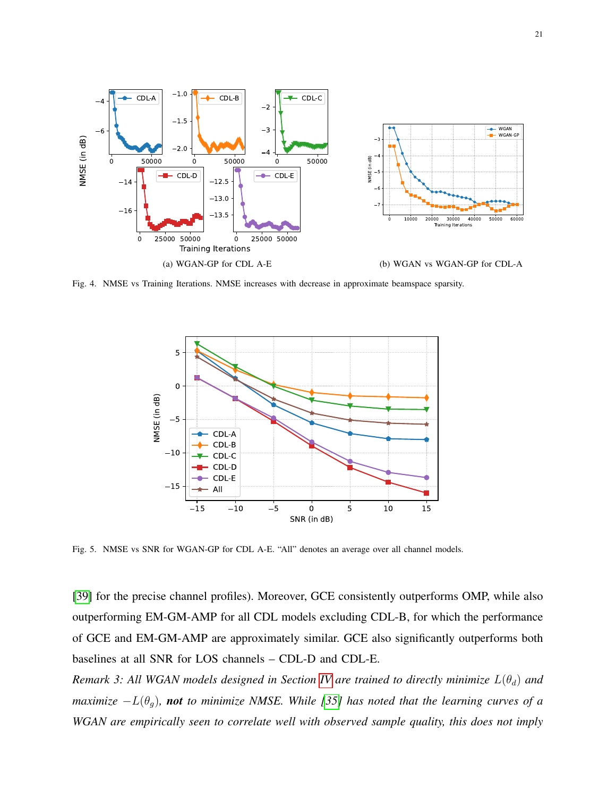<span id="page-20-0"></span>

Fig. 4. NMSE vs Training Iterations. NMSE increases with decrease in approximate beamspace sparsity.

<span id="page-20-1"></span>

<span id="page-20-3"></span>Fig. 5. NMSE vs SNR for WGAN-GP for CDL A-E. "All" denotes an average over all channel models.

[\[39\]](#page-30-17) for the precise channel profiles). Moreover, GCE consistently outperforms OMP, while also outperforming EM-GM-AMP for all CDL models excluding CDL-B, for which the performance of GCE and EM-GM-AMP are approximately similar. GCE also significantly outperforms both baselines at all SNR for LOS channels – CDL-D and CDL-E.

<span id="page-20-2"></span>*Remark 3: All WGAN models designed in Section [IV](#page-7-0) are trained to directly minimize*  $L(\theta_d)$  and *maximize*  $-L(\theta_g)$ *, not to minimize NMSE. While* [\[35\]](#page-30-13) has noted that the learning curves of a *WGAN are empirically seen to correlate well with observed sample quality, this does not imply*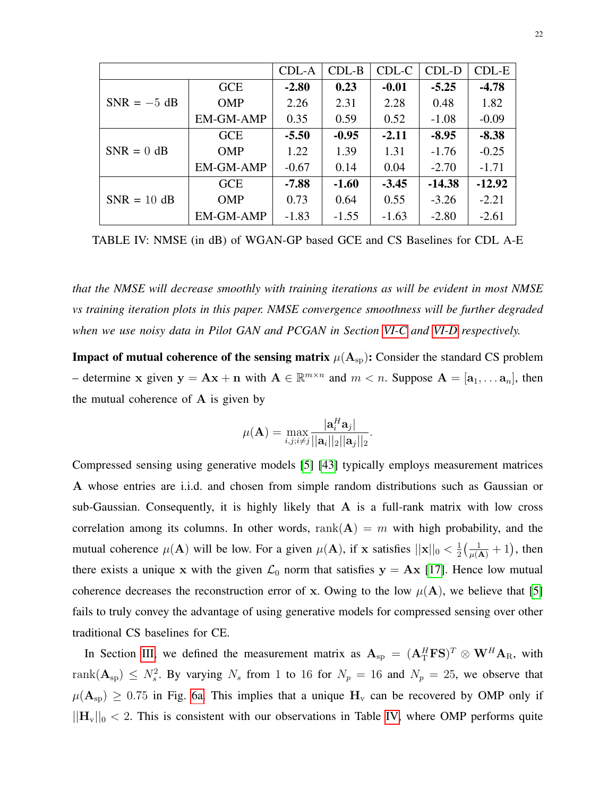<span id="page-21-0"></span>

|               |                  | CDL-A   | $CDL-B$ | CDL-C   | CDL-D    | $CDL-E$  |
|---------------|------------------|---------|---------|---------|----------|----------|
|               | <b>GCE</b>       | $-2.80$ | 0.23    | $-0.01$ | $-5.25$  | $-4.78$  |
| $SNR = -5 dB$ | <b>OMP</b>       | 2.26    | 2.31    | 2.28    | 0.48     | 1.82     |
|               | EM-GM-AMP        | 0.35    | 0.59    | 0.52    | $-1.08$  | $-0.09$  |
|               | <b>GCE</b>       | $-5.50$ | $-0.95$ | $-2.11$ | $-8.95$  | $-8.38$  |
| $SNR = 0$ dB  | <b>OMP</b>       | 1.22    | 1.39    | 1.31    | $-1.76$  | $-0.25$  |
|               | <b>EM-GM-AMP</b> | $-0.67$ | 0.14    | 0.04    | $-2.70$  | $-1.71$  |
|               | <b>GCE</b>       | $-7.88$ | $-1.60$ | $-3.45$ | $-14.38$ | $-12.92$ |
| $SNR = 10$ dB | <b>OMP</b>       | 0.73    | 0.64    | 0.55    | $-3.26$  | $-2.21$  |
|               | EM-GM-AMP        | $-1.83$ | $-1.55$ | $-1.63$ | $-2.80$  | $-2.61$  |

TABLE IV: NMSE (in dB) of WGAN-GP based GCE and CS Baselines for CDL A-E

*that the NMSE will decrease smoothly with training iterations as will be evident in most NMSE vs training iteration plots in this paper. NMSE convergence smoothness will be further degraded when we use noisy data in Pilot GAN and PCGAN in Section [VI-C](#page-23-0) and [VI-D](#page-26-0) respectively.*

**Impact of mutual coherence of the sensing matrix**  $\mu(A_{sp})$ : Consider the standard CS problem – determine x given  $y = Ax + n$  with  $A \in \mathbb{R}^{m \times n}$  and  $m < n$ . Suppose  $A = [a_1, \dots a_n]$ , then the mutual coherence of  $A$  is given by

$$
\mu(\mathbf{A}) = \max_{i,j;i \neq j} \frac{|\mathbf{a}_i^H \mathbf{a}_j|}{||\mathbf{a}_i||_2||\mathbf{a}_j||_2}.
$$

Compressed sensing using generative models [\[5\]](#page-29-4) [\[43\]](#page-31-2) typically employs measurement matrices A whose entries are i.i.d. and chosen from simple random distributions such as Gaussian or sub-Gaussian. Consequently, it is highly likely that  $A$  is a full-rank matrix with low cross correlation among its columns. In other words, rank $(A) = m$  with high probability, and the mutual coherence  $\mu(A)$  will be low. For a given  $\mu(A)$ , if x satisfies  $||\mathbf{x}||_0 < \frac{1}{2}$  $\frac{1}{2}(\frac{1}{\mu(A)}+1)$ , then there exists a unique x with the given  $\mathcal{L}_0$  norm that satisfies  $y = Ax$  [\[17\]](#page-29-16). Hence low mutual coherence decreases the reconstruction error of x. Owing to the low  $\mu(A)$ , we believe that [\[5\]](#page-29-4) fails to truly convey the advantage of using generative models for compressed sensing over other traditional CS baselines for CE.

In Section [III,](#page-5-1) we defined the measurement matrix as  $A_{sp} = (A_T^H F S)^T \otimes W^H A_R$ , with rank $(A_{\text{sp}}) \leq N_s^2$ . By varying  $N_s$  from 1 to 16 for  $N_p = 16$  and  $N_p = 25$ , we observe that  $\mu(A_{sp}) \ge 0.75$  in Fig. [6a.](#page-22-0) This implies that a unique  $H_v$  can be recovered by OMP only if  $||\mathbf{H}_{v}||_0 < 2$ . This is consistent with our observations in Table [IV,](#page-21-0) where OMP performs quite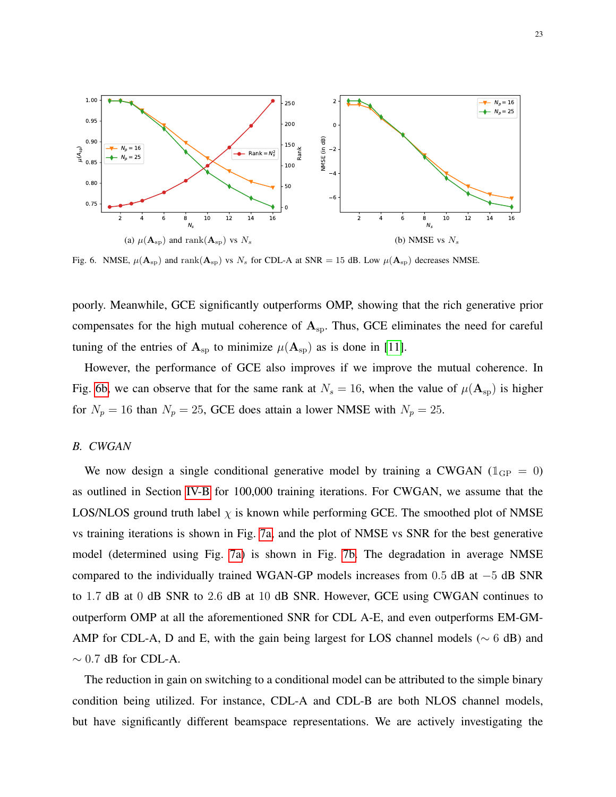<span id="page-22-0"></span>

<span id="page-22-1"></span>Fig. 6. NMSE,  $\mu(A_{sp})$  and rank $(A_{sp})$  vs  $N_s$  for CDL-A at SNR = 15 dB. Low  $\mu(A_{sp})$  decreases NMSE.

poorly. Meanwhile, GCE significantly outperforms OMP, showing that the rich generative prior compensates for the high mutual coherence of  $A_{\rm{sp}}$ . Thus, GCE eliminates the need for careful tuning of the entries of  $A_{sp}$  to minimize  $\mu(A_{sp})$  as is done in [\[11\]](#page-29-10).

However, the performance of GCE also improves if we improve the mutual coherence. In Fig. [6b,](#page-22-1) we can observe that for the same rank at  $N_s = 16$ , when the value of  $\mu(\mathbf{A}_{sp})$  is higher for  $N_p = 16$  than  $N_p = 25$ , GCE does attain a lower NMSE with  $N_p = 25$ .

## <span id="page-22-2"></span>*B. CWGAN*

We now design a single conditional generative model by training a CWGAN ( $\mathbb{1}_{GP} = 0$ ) as outlined in Section [IV-B](#page-9-3) for 100,000 training iterations. For CWGAN, we assume that the LOS/NLOS ground truth label  $\chi$  is known while performing GCE. The smoothed plot of NMSE vs training iterations is shown in Fig. [7a,](#page-23-1) and the plot of NMSE vs SNR for the best generative model (determined using Fig. [7a\)](#page-23-1) is shown in Fig. [7b.](#page-23-2) The degradation in average NMSE compared to the individually trained WGAN-GP models increases from 0.5 dB at −5 dB SNR to 1.7 dB at 0 dB SNR to 2.6 dB at 10 dB SNR. However, GCE using CWGAN continues to outperform OMP at all the aforementioned SNR for CDL A-E, and even outperforms EM-GM-AMP for CDL-A, D and E, with the gain being largest for LOS channel models ( $\sim$  6 dB) and  $\sim$  0.7 dB for CDL-A.

The reduction in gain on switching to a conditional model can be attributed to the simple binary condition being utilized. For instance, CDL-A and CDL-B are both NLOS channel models, but have significantly different beamspace representations. We are actively investigating the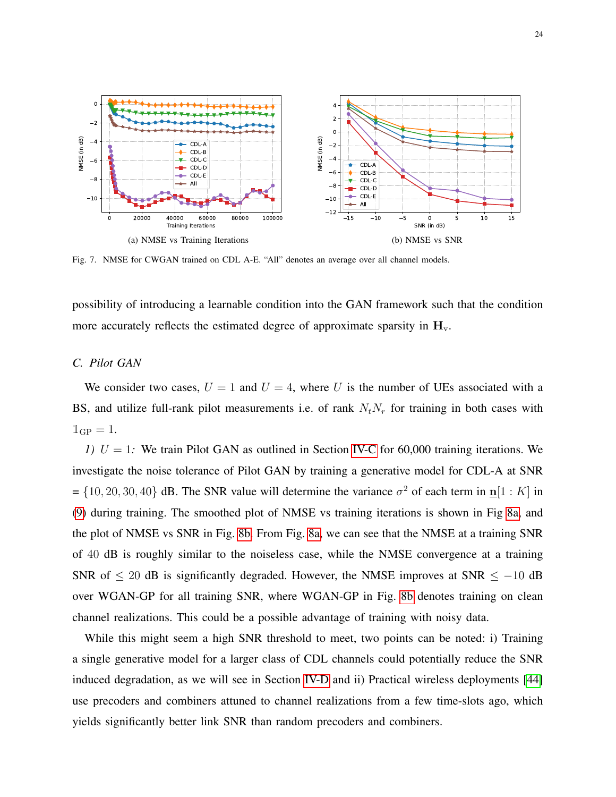<span id="page-23-1"></span>

<span id="page-23-2"></span>Fig. 7. NMSE for CWGAN trained on CDL A-E. "All" denotes an average over all channel models.

possibility of introducing a learnable condition into the GAN framework such that the condition more accurately reflects the estimated degree of approximate sparsity in  $H_v$ .

## <span id="page-23-0"></span>*C. Pilot GAN*

We consider two cases,  $U = 1$  and  $U = 4$ , where U is the number of UEs associated with a BS, and utilize full-rank pilot measurements i.e. of rank  $N_tN_r$  for training in both cases with  $\mathbb{1}_{\text{GP}} = 1.$ 

*1)*  $U = 1$ : We train Pilot GAN as outlined in Section [IV-C](#page-11-1) for 60,000 training iterations. We investigate the noise tolerance of Pilot GAN by training a generative model for CDL-A at SNR  $= \{10, 20, 30, 40\}$  dB. The SNR value will determine the variance  $\sigma^2$  of each term in  $\underline{\mathbf{n}}[1 : K]$  in [\(9\)](#page-12-2) during training. The smoothed plot of NMSE vs training iterations is shown in Fig [8a,](#page-24-0) and the plot of NMSE vs SNR in Fig. [8b.](#page-24-1) From Fig. [8a,](#page-24-0) we can see that the NMSE at a training SNR of 40 dB is roughly similar to the noiseless case, while the NMSE convergence at a training SNR of  $\leq 20$  dB is significantly degraded. However, the NMSE improves at SNR  $\leq -10$  dB over WGAN-GP for all training SNR, where WGAN-GP in Fig. [8b](#page-24-1) denotes training on clean channel realizations. This could be a possible advantage of training with noisy data.

While this might seem a high SNR threshold to meet, two points can be noted: i) Training a single generative model for a larger class of CDL channels could potentially reduce the SNR induced degradation, as we will see in Section [IV-D](#page-14-0) and ii) Practical wireless deployments [\[44\]](#page-31-3) use precoders and combiners attuned to channel realizations from a few time-slots ago, which yields significantly better link SNR than random precoders and combiners.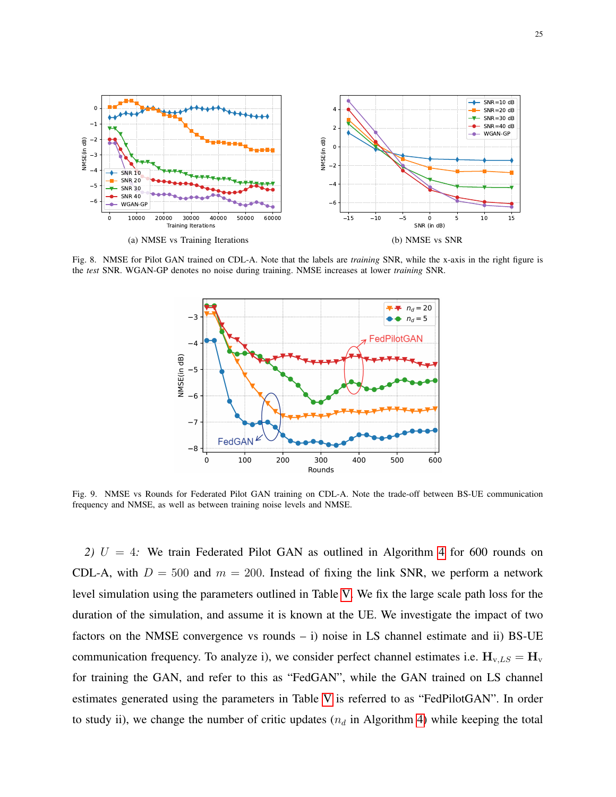

25

<span id="page-24-0"></span>

Fig. 8. NMSE for Pilot GAN trained on CDL-A. Note that the labels are *training* SNR, while the x-axis in the right figure is the *test* SNR. WGAN-GP denotes no noise during training. NMSE increases at lower *training* SNR.

<span id="page-24-1"></span>

<span id="page-24-2"></span>Fig. 9. NMSE vs Rounds for Federated Pilot GAN training on CDL-A. Note the trade-off between BS-UE communication frequency and NMSE, as well as between training noise levels and NMSE.

*2)* U = 4*:* We train Federated Pilot GAN as outlined in Algorithm [4](#page-14-1) for 600 rounds on CDL-A, with  $D = 500$  and  $m = 200$ . Instead of fixing the link SNR, we perform a network level simulation using the parameters outlined in Table [V.](#page-25-0) We fix the large scale path loss for the duration of the simulation, and assume it is known at the UE. We investigate the impact of two factors on the NMSE convergence vs rounds  $- i$ ) noise in LS channel estimate and ii) BS-UE communication frequency. To analyze i), we consider perfect channel estimates i.e.  $H_{v,LS} = H_{v}$ for training the GAN, and refer to this as "FedGAN", while the GAN trained on LS channel estimates generated using the parameters in Table [V](#page-25-0) is referred to as "FedPilotGAN". In order to study ii), we change the number of critic updates  $(n_d$  in Algorithm [4\)](#page-14-1) while keeping the total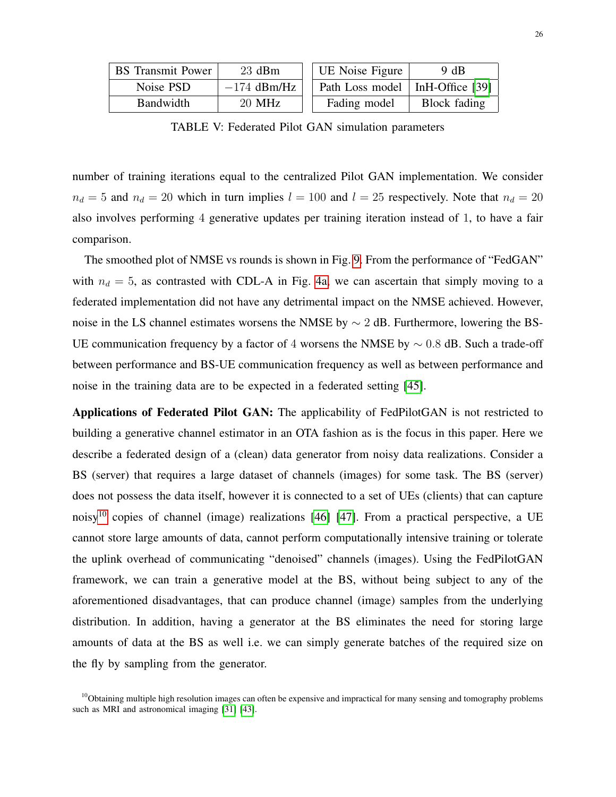<span id="page-25-0"></span>

| <b>BS</b> Transmit Power | $23$ dBm      | UE Noise Figure                   | 9 dB         |
|--------------------------|---------------|-----------------------------------|--------------|
| Noise PSD                | $-174$ dBm/Hz | Path Loss model   InH-Office [39] |              |
| Bandwidth                | 20 MHz        | Fading model                      | Block fading |

TABLE V: Federated Pilot GAN simulation parameters

number of training iterations equal to the centralized Pilot GAN implementation. We consider  $n_d = 5$  and  $n_d = 20$  which in turn implies  $l = 100$  and  $l = 25$  respectively. Note that  $n_d = 20$ also involves performing 4 generative updates per training iteration instead of 1, to have a fair comparison.

The smoothed plot of NMSE vs rounds is shown in Fig. [9.](#page-24-2) From the performance of "FedGAN" with  $n_d = 5$ , as contrasted with CDL-A in Fig. [4a,](#page-20-0) we can ascertain that simply moving to a federated implementation did not have any detrimental impact on the NMSE achieved. However, noise in the LS channel estimates worsens the NMSE by ∼ 2 dB. Furthermore, lowering the BS-UE communication frequency by a factor of 4 worsens the NMSE by  $\sim$  0.8 dB. Such a trade-off between performance and BS-UE communication frequency as well as between performance and noise in the training data are to be expected in a federated setting [\[45\]](#page-31-4).

Applications of Federated Pilot GAN: The applicability of FedPilotGAN is not restricted to building a generative channel estimator in an OTA fashion as is the focus in this paper. Here we describe a federated design of a (clean) data generator from noisy data realizations. Consider a BS (server) that requires a large dataset of channels (images) for some task. The BS (server) does not possess the data itself, however it is connected to a set of UEs (clients) that can capture noisy<sup>[10](#page-25-1)</sup> copies of channel (image) realizations [\[46\]](#page-31-5) [\[47\]](#page-31-6). From a practical perspective, a UE cannot store large amounts of data, cannot perform computationally intensive training or tolerate the uplink overhead of communicating "denoised" channels (images). Using the FedPilotGAN framework, we can train a generative model at the BS, without being subject to any of the aforementioned disadvantages, that can produce channel (image) samples from the underlying distribution. In addition, having a generator at the BS eliminates the need for storing large amounts of data at the BS as well i.e. we can simply generate batches of the required size on the fly by sampling from the generator.

<span id="page-25-1"></span> $10$ Obtaining multiple high resolution images can often be expensive and impractical for many sensing and tomography problems such as MRI and astronomical imaging [\[31\]](#page-30-9) [\[43\]](#page-31-2).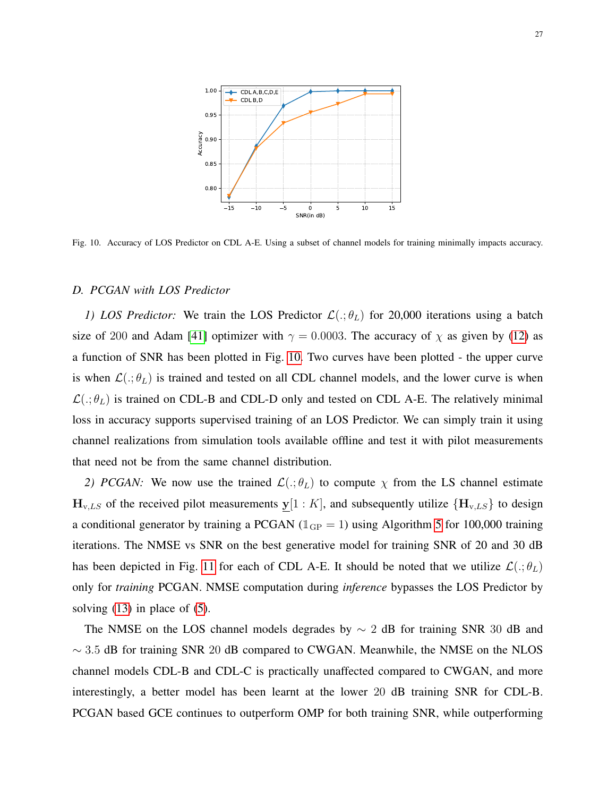

<span id="page-26-1"></span>Fig. 10. Accuracy of LOS Predictor on CDL A-E. Using a subset of channel models for training minimally impacts accuracy.

## <span id="page-26-0"></span>*D. PCGAN with LOS Predictor*

*1) LOS Predictor:* We train the LOS Predictor  $\mathcal{L}(.;\theta_L)$  for 20,000 iterations using a batch size of 200 and Adam [\[41\]](#page-31-0) optimizer with  $\gamma = 0.0003$ . The accuracy of  $\chi$  as given by [\(12\)](#page-15-3) as a function of SNR has been plotted in Fig. [10.](#page-26-1) Two curves have been plotted - the upper curve is when  $\mathcal{L}(.;\theta_L)$  is trained and tested on all CDL channel models, and the lower curve is when  $\mathcal{L}(.;\theta_L)$  is trained on CDL-B and CDL-D only and tested on CDL A-E. The relatively minimal loss in accuracy supports supervised training of an LOS Predictor. We can simply train it using channel realizations from simulation tools available offline and test it with pilot measurements that need not be from the same channel distribution.

*2) PCGAN:* We now use the trained  $\mathcal{L}(\cdot;\theta_L)$  to compute  $\chi$  from the LS channel estimate  $H_{v,LS}$  of the received pilot measurements  $y[1:K]$ , and subsequently utilize  $\{H_{v,LS}\}\$  to design a conditional generator by training a PCGAN ( $\mathbb{1}_{GP} = 1$ ) using Algorithm [5](#page-16-0) for 100,000 training iterations. The NMSE vs SNR on the best generative model for training SNR of 20 and 30 dB has been depicted in Fig. [11](#page-27-0) for each of CDL A-E. It should be noted that we utilize  $\mathcal{L}(.;\theta_L)$ only for *training* PCGAN. NMSE computation during *inference* bypasses the LOS Predictor by solving  $(13)$  in place of  $(5)$ .

The NMSE on the LOS channel models degrades by  $\sim$  2 dB for training SNR 30 dB and  $\sim$  3.5 dB for training SNR 20 dB compared to CWGAN. Meanwhile, the NMSE on the NLOS channel models CDL-B and CDL-C is practically unaffected compared to CWGAN, and more interestingly, a better model has been learnt at the lower 20 dB training SNR for CDL-B. PCGAN based GCE continues to outperform OMP for both training SNR, while outperforming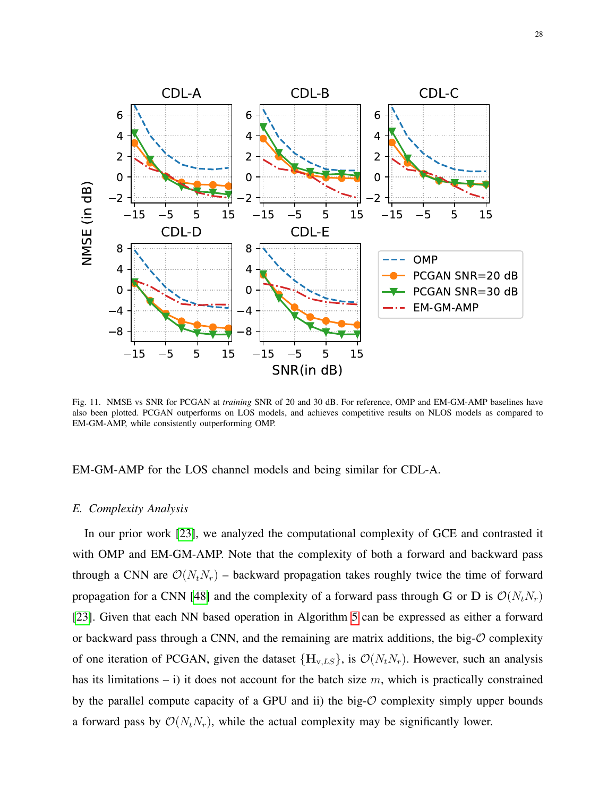

<span id="page-27-0"></span>Fig. 11. NMSE vs SNR for PCGAN at *training* SNR of 20 and 30 dB. For reference, OMP and EM-GM-AMP baselines have also been plotted. PCGAN outperforms on LOS models, and achieves competitive results on NLOS models as compared to EM-GM-AMP, while consistently outperforming OMP.

EM-GM-AMP for the LOS channel models and being similar for CDL-A.

#### *E. Complexity Analysis*

In our prior work [\[23\]](#page-30-1), we analyzed the computational complexity of GCE and contrasted it with OMP and EM-GM-AMP. Note that the complexity of both a forward and backward pass through a CNN are  $\mathcal{O}(N_tN_r)$  – backward propagation takes roughly twice the time of forward propagation for a CNN [\[48\]](#page-31-7) and the complexity of a forward pass through G or D is  $\mathcal{O}(N_tN_r)$ [\[23\]](#page-30-1). Given that each NN based operation in Algorithm [5](#page-16-0) can be expressed as either a forward or backward pass through a CNN, and the remaining are matrix additions, the big- $\mathcal O$  complexity of one iteration of PCGAN, given the dataset  ${H_{v,LS}}$ , is  $\mathcal{O}(N_tN_r)$ . However, such an analysis has its limitations – i) it does not account for the batch size  $m$ , which is practically constrained by the parallel compute capacity of a GPU and ii) the big- $\mathcal O$  complexity simply upper bounds a forward pass by  $\mathcal{O}(N_tN_r)$ , while the actual complexity may be significantly lower.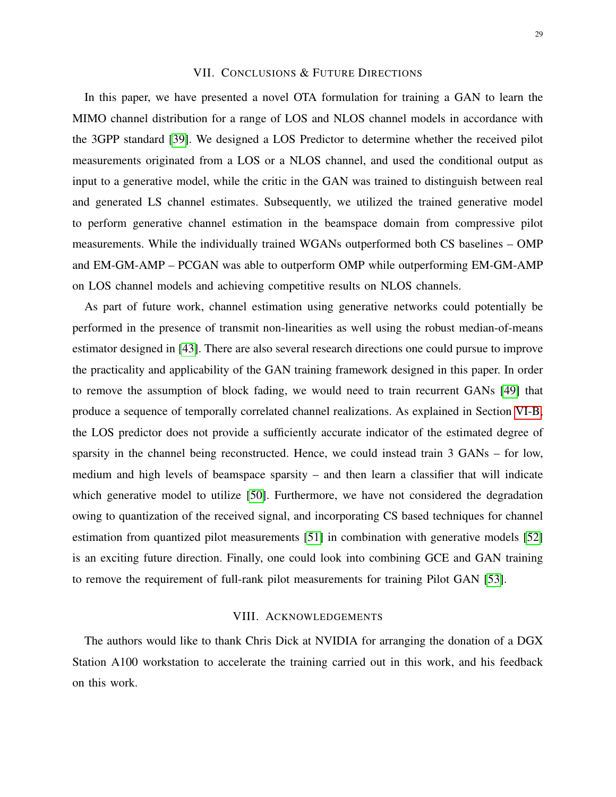## VII. CONCLUSIONS & FUTURE DIRECTIONS

<span id="page-28-0"></span>In this paper, we have presented a novel OTA formulation for training a GAN to learn the MIMO channel distribution for a range of LOS and NLOS channel models in accordance with the 3GPP standard [\[39\]](#page-30-17). We designed a LOS Predictor to determine whether the received pilot measurements originated from a LOS or a NLOS channel, and used the conditional output as input to a generative model, while the critic in the GAN was trained to distinguish between real and generated LS channel estimates. Subsequently, we utilized the trained generative model to perform generative channel estimation in the beamspace domain from compressive pilot measurements. While the individually trained WGANs outperformed both CS baselines – OMP and EM-GM-AMP – PCGAN was able to outperform OMP while outperforming EM-GM-AMP on LOS channel models and achieving competitive results on NLOS channels.

As part of future work, channel estimation using generative networks could potentially be performed in the presence of transmit non-linearities as well using the robust median-of-means estimator designed in [\[43\]](#page-31-2). There are also several research directions one could pursue to improve the practicality and applicability of the GAN training framework designed in this paper. In order to remove the assumption of block fading, we would need to train recurrent GANs [\[49\]](#page-31-8) that produce a sequence of temporally correlated channel realizations. As explained in Section [VI-B,](#page-22-2) the LOS predictor does not provide a sufficiently accurate indicator of the estimated degree of sparsity in the channel being reconstructed. Hence, we could instead train 3 GANs – for low, medium and high levels of beamspace sparsity – and then learn a classifier that will indicate which generative model to utilize [\[50\]](#page-31-9). Furthermore, we have not considered the degradation owing to quantization of the received signal, and incorporating CS based techniques for channel estimation from quantized pilot measurements [\[51\]](#page-31-10) in combination with generative models [\[52\]](#page-31-11) is an exciting future direction. Finally, one could look into combining GCE and GAN training to remove the requirement of full-rank pilot measurements for training Pilot GAN [\[53\]](#page-31-12).

## VIII. ACKNOWLEDGEMENTS

The authors would like to thank Chris Dick at NVIDIA for arranging the donation of a DGX Station A100 workstation to accelerate the training carried out in this work, and his feedback on this work.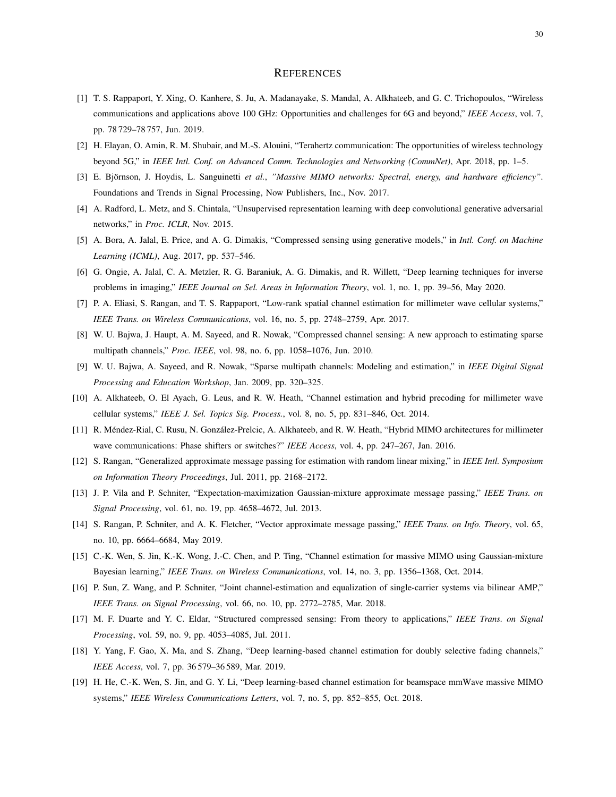#### **REFERENCES**

- <span id="page-29-0"></span>[1] T. S. Rappaport, Y. Xing, O. Kanhere, S. Ju, A. Madanayake, S. Mandal, A. Alkhateeb, and G. C. Trichopoulos, "Wireless communications and applications above 100 GHz: Opportunities and challenges for 6G and beyond," *IEEE Access*, vol. 7, pp. 78 729–78 757, Jun. 2019.
- <span id="page-29-1"></span>[2] H. Elayan, O. Amin, R. M. Shubair, and M.-S. Alouini, "Terahertz communication: The opportunities of wireless technology beyond 5G," in *IEEE Intl. Conf. on Advanced Comm. Technologies and Networking (CommNet)*, Apr. 2018, pp. 1–5.
- <span id="page-29-2"></span>[3] E. Björnson, J. Hoydis, L. Sanguinetti et al., "Massive MIMO networks: Spectral, energy, and hardware efficiency". Foundations and Trends in Signal Processing, Now Publishers, Inc., Nov. 2017.
- <span id="page-29-3"></span>[4] A. Radford, L. Metz, and S. Chintala, "Unsupervised representation learning with deep convolutional generative adversarial networks," in *Proc. ICLR*, Nov. 2015.
- <span id="page-29-4"></span>[5] A. Bora, A. Jalal, E. Price, and A. G. Dimakis, "Compressed sensing using generative models," in *Intl. Conf. on Machine Learning (ICML)*, Aug. 2017, pp. 537–546.
- <span id="page-29-5"></span>[6] G. Ongie, A. Jalal, C. A. Metzler, R. G. Baraniuk, A. G. Dimakis, and R. Willett, "Deep learning techniques for inverse problems in imaging," *IEEE Journal on Sel. Areas in Information Theory*, vol. 1, no. 1, pp. 39–56, May 2020.
- <span id="page-29-6"></span>[7] P. A. Eliasi, S. Rangan, and T. S. Rappaport, "Low-rank spatial channel estimation for millimeter wave cellular systems," *IEEE Trans. on Wireless Communications*, vol. 16, no. 5, pp. 2748–2759, Apr. 2017.
- <span id="page-29-7"></span>[8] W. U. Bajwa, J. Haupt, A. M. Sayeed, and R. Nowak, "Compressed channel sensing: A new approach to estimating sparse multipath channels," *Proc. IEEE*, vol. 98, no. 6, pp. 1058–1076, Jun. 2010.
- <span id="page-29-8"></span>[9] W. U. Bajwa, A. Sayeed, and R. Nowak, "Sparse multipath channels: Modeling and estimation," in *IEEE Digital Signal Processing and Education Workshop*, Jan. 2009, pp. 320–325.
- <span id="page-29-9"></span>[10] A. Alkhateeb, O. El Ayach, G. Leus, and R. W. Heath, "Channel estimation and hybrid precoding for millimeter wave cellular systems," *IEEE J. Sel. Topics Sig. Process.*, vol. 8, no. 5, pp. 831–846, Oct. 2014.
- <span id="page-29-10"></span>[11] R. Méndez-Rial, C. Rusu, N. González-Prelcic, A. Alkhateeb, and R. W. Heath, "Hybrid MIMO architectures for millimeter wave communications: Phase shifters or switches?" *IEEE Access*, vol. 4, pp. 247–267, Jan. 2016.
- <span id="page-29-11"></span>[12] S. Rangan, "Generalized approximate message passing for estimation with random linear mixing," in *IEEE Intl. Symposium on Information Theory Proceedings*, Jul. 2011, pp. 2168–2172.
- <span id="page-29-12"></span>[13] J. P. Vila and P. Schniter, "Expectation-maximization Gaussian-mixture approximate message passing," *IEEE Trans. on Signal Processing*, vol. 61, no. 19, pp. 4658–4672, Jul. 2013.
- <span id="page-29-13"></span>[14] S. Rangan, P. Schniter, and A. K. Fletcher, "Vector approximate message passing," *IEEE Trans. on Info. Theory*, vol. 65, no. 10, pp. 6664–6684, May 2019.
- <span id="page-29-14"></span>[15] C.-K. Wen, S. Jin, K.-K. Wong, J.-C. Chen, and P. Ting, "Channel estimation for massive MIMO using Gaussian-mixture Bayesian learning," *IEEE Trans. on Wireless Communications*, vol. 14, no. 3, pp. 1356–1368, Oct. 2014.
- <span id="page-29-15"></span>[16] P. Sun, Z. Wang, and P. Schniter, "Joint channel-estimation and equalization of single-carrier systems via bilinear AMP," *IEEE Trans. on Signal Processing*, vol. 66, no. 10, pp. 2772–2785, Mar. 2018.
- <span id="page-29-16"></span>[17] M. F. Duarte and Y. C. Eldar, "Structured compressed sensing: From theory to applications," *IEEE Trans. on Signal Processing*, vol. 59, no. 9, pp. 4053–4085, Jul. 2011.
- <span id="page-29-17"></span>[18] Y. Yang, F. Gao, X. Ma, and S. Zhang, "Deep learning-based channel estimation for doubly selective fading channels," *IEEE Access*, vol. 7, pp. 36 579–36 589, Mar. 2019.
- [19] H. He, C.-K. Wen, S. Jin, and G. Y. Li, "Deep learning-based channel estimation for beamspace mmWave massive MIMO systems," *IEEE Wireless Communications Letters*, vol. 7, no. 5, pp. 852–855, Oct. 2018.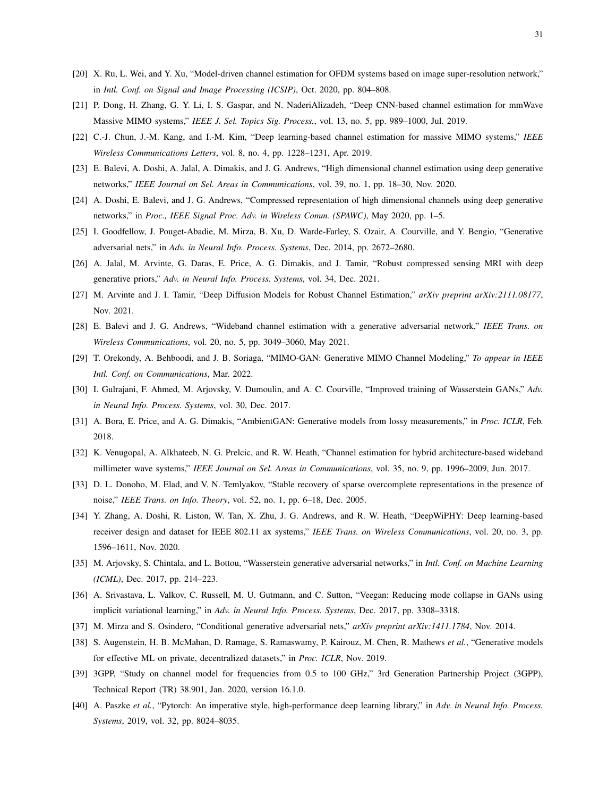- [20] X. Ru, L. Wei, and Y. Xu, "Model-driven channel estimation for OFDM systems based on image super-resolution network," in *Intl. Conf. on Signal and Image Processing (ICSIP)*, Oct. 2020, pp. 804–808.
- [21] P. Dong, H. Zhang, G. Y. Li, I. S. Gaspar, and N. NaderiAlizadeh, "Deep CNN-based channel estimation for mmWave Massive MIMO systems," *IEEE J. Sel. Topics Sig. Process.*, vol. 13, no. 5, pp. 989–1000, Jul. 2019.
- <span id="page-30-0"></span>[22] C.-J. Chun, J.-M. Kang, and I.-M. Kim, "Deep learning-based channel estimation for massive MIMO systems," *IEEE Wireless Communications Letters*, vol. 8, no. 4, pp. 1228–1231, Apr. 2019.
- <span id="page-30-1"></span>[23] E. Balevi, A. Doshi, A. Jalal, A. Dimakis, and J. G. Andrews, "High dimensional channel estimation using deep generative networks," *IEEE Journal on Sel. Areas in Communications*, vol. 39, no. 1, pp. 18–30, Nov. 2020.
- <span id="page-30-2"></span>[24] A. Doshi, E. Balevi, and J. G. Andrews, "Compressed representation of high dimensional channels using deep generative networks," in *Proc., IEEE Signal Proc. Adv. in Wireless Comm. (SPAWC)*, May 2020, pp. 1–5.
- <span id="page-30-3"></span>[25] I. Goodfellow, J. Pouget-Abadie, M. Mirza, B. Xu, D. Warde-Farley, S. Ozair, A. Courville, and Y. Bengio, "Generative adversarial nets," in *Adv. in Neural Info. Process. Systems*, Dec. 2014, pp. 2672–2680.
- <span id="page-30-4"></span>[26] A. Jalal, M. Arvinte, G. Daras, E. Price, A. G. Dimakis, and J. Tamir, "Robust compressed sensing MRI with deep generative priors," *Adv. in Neural Info. Process. Systems*, vol. 34, Dec. 2021.
- <span id="page-30-5"></span>[27] M. Arvinte and J. I. Tamir, "Deep Diffusion Models for Robust Channel Estimation," *arXiv preprint arXiv:2111.08177*, Nov. 2021.
- <span id="page-30-6"></span>[28] E. Balevi and J. G. Andrews, "Wideband channel estimation with a generative adversarial network," *IEEE Trans. on Wireless Communications*, vol. 20, no. 5, pp. 3049–3060, May 2021.
- <span id="page-30-7"></span>[29] T. Orekondy, A. Behboodi, and J. B. Soriaga, "MIMO-GAN: Generative MIMO Channel Modeling," *To appear in IEEE Intl. Conf. on Communications*, Mar. 2022.
- <span id="page-30-8"></span>[30] I. Gulrajani, F. Ahmed, M. Arjovsky, V. Dumoulin, and A. C. Courville, "Improved training of Wasserstein GANs," *Adv. in Neural Info. Process. Systems*, vol. 30, Dec. 2017.
- <span id="page-30-9"></span>[31] A. Bora, E. Price, and A. G. Dimakis, "AmbientGAN: Generative models from lossy measurements," in *Proc. ICLR*, Feb. 2018.
- <span id="page-30-10"></span>[32] K. Venugopal, A. Alkhateeb, N. G. Prelcic, and R. W. Heath, "Channel estimation for hybrid architecture-based wideband millimeter wave systems," *IEEE Journal on Sel. Areas in Communications*, vol. 35, no. 9, pp. 1996–2009, Jun. 2017.
- <span id="page-30-11"></span>[33] D. L. Donoho, M. Elad, and V. N. Temlyakov, "Stable recovery of sparse overcomplete representations in the presence of noise," *IEEE Trans. on Info. Theory*, vol. 52, no. 1, pp. 6–18, Dec. 2005.
- <span id="page-30-12"></span>[34] Y. Zhang, A. Doshi, R. Liston, W. Tan, X. Zhu, J. G. Andrews, and R. W. Heath, "DeepWiPHY: Deep learning-based receiver design and dataset for IEEE 802.11 ax systems," *IEEE Trans. on Wireless Communications*, vol. 20, no. 3, pp. 1596–1611, Nov. 2020.
- <span id="page-30-13"></span>[35] M. Arjovsky, S. Chintala, and L. Bottou, "Wasserstein generative adversarial networks," in *Intl. Conf. on Machine Learning (ICML)*, Dec. 2017, pp. 214–223.
- <span id="page-30-14"></span>[36] A. Srivastava, L. Valkov, C. Russell, M. U. Gutmann, and C. Sutton, "Veegan: Reducing mode collapse in GANs using implicit variational learning," in *Adv. in Neural Info. Process. Systems*, Dec. 2017, pp. 3308–3318.
- <span id="page-30-15"></span>[37] M. Mirza and S. Osindero, "Conditional generative adversarial nets," *arXiv preprint arXiv:1411.1784*, Nov. 2014.
- <span id="page-30-16"></span>[38] S. Augenstein, H. B. McMahan, D. Ramage, S. Ramaswamy, P. Kairouz, M. Chen, R. Mathews *et al.*, "Generative models for effective ML on private, decentralized datasets," in *Proc. ICLR*, Nov. 2019.
- <span id="page-30-17"></span>[39] 3GPP, "Study on channel model for frequencies from 0.5 to 100 GHz," 3rd Generation Partnership Project (3GPP), Technical Report (TR) 38.901, Jan. 2020, version 16.1.0.
- <span id="page-30-18"></span>[40] A. Paszke *et al.*, "Pytorch: An imperative style, high-performance deep learning library," in *Adv. in Neural Info. Process. Systems*, 2019, vol. 32, pp. 8024–8035.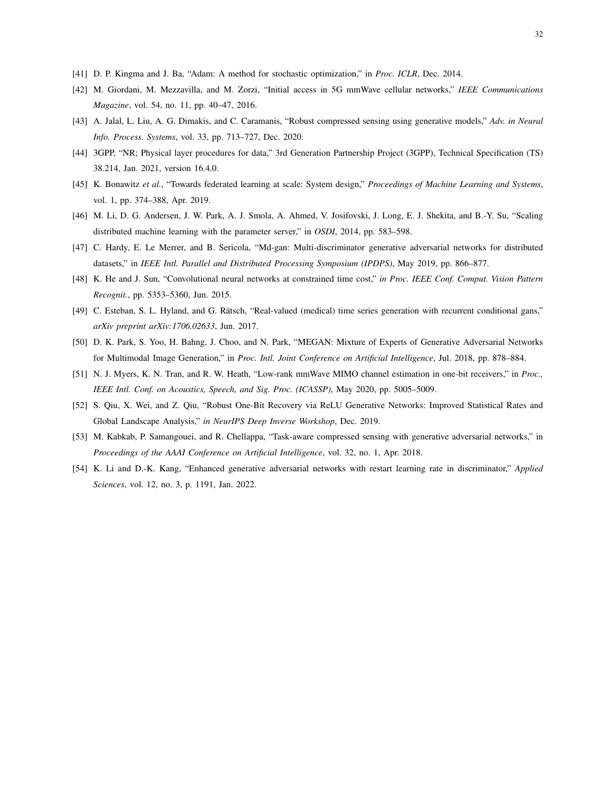- <span id="page-31-0"></span>[41] D. P. Kingma and J. Ba, "Adam: A method for stochastic optimization," in *Proc. ICLR*, Dec. 2014.
- <span id="page-31-1"></span>[42] M. Giordani, M. Mezzavilla, and M. Zorzi, "Initial access in 5G mmWave cellular networks," *IEEE Communications Magazine*, vol. 54, no. 11, pp. 40–47, 2016.
- <span id="page-31-2"></span>[43] A. Jalal, L. Liu, A. G. Dimakis, and C. Caramanis, "Robust compressed sensing using generative models," *Adv. in Neural Info. Process. Systems*, vol. 33, pp. 713–727, Dec. 2020.
- <span id="page-31-3"></span>[44] 3GPP, "NR; Physical layer procedures for data," 3rd Generation Partnership Project (3GPP), Technical Specification (TS) 38.214, Jan. 2021, version 16.4.0.
- <span id="page-31-4"></span>[45] K. Bonawitz *et al.*, "Towards federated learning at scale: System design," *Proceedings of Machine Learning and Systems*, vol. 1, pp. 374–388, Apr. 2019.
- <span id="page-31-5"></span>[46] M. Li, D. G. Andersen, J. W. Park, A. J. Smola, A. Ahmed, V. Josifovski, J. Long, E. J. Shekita, and B.-Y. Su, "Scaling distributed machine learning with the parameter server," in *OSDI*, 2014, pp. 583–598.
- <span id="page-31-6"></span>[47] C. Hardy, E. Le Merrer, and B. Sericola, "Md-gan: Multi-discriminator generative adversarial networks for distributed datasets," in *IEEE Intl. Parallel and Distributed Processing Symposium (IPDPS)*, May 2019, pp. 866–877.
- <span id="page-31-7"></span>[48] K. He and J. Sun, "Convolutional neural networks at constrained time cost," *in Proc. IEEE Conf. Comput. Vision Pattern Recognit.*, pp. 5353–5360, Jun. 2015.
- <span id="page-31-8"></span>[49] C. Esteban, S. L. Hyland, and G. Rätsch, "Real-valued (medical) time series generation with recurrent conditional gans," *arXiv preprint arXiv:1706.02633*, Jun. 2017.
- <span id="page-31-9"></span>[50] D. K. Park, S. Yoo, H. Bahng, J. Choo, and N. Park, "MEGAN: Mixture of Experts of Generative Adversarial Networks for Multimodal Image Generation," in *Proc. Intl. Joint Conference on Artificial Intelligence*, Jul. 2018, pp. 878–884.
- <span id="page-31-10"></span>[51] N. J. Myers, K. N. Tran, and R. W. Heath, "Low-rank mmWave MIMO channel estimation in one-bit receivers," in *Proc., IEEE Intl. Conf. on Acoustics, Speech, and Sig. Proc. (ICASSP)*, May 2020, pp. 5005–5009.
- <span id="page-31-11"></span>[52] S. Qiu, X. Wei, and Z. Qiu, "Robust One-Bit Recovery via ReLU Generative Networks: Improved Statistical Rates and Global Landscape Analysis," *in NeurIPS Deep Inverse Workshop*, Dec. 2019.
- <span id="page-31-12"></span>[53] M. Kabkab, P. Samangouei, and R. Chellappa, "Task-aware compressed sensing with generative adversarial networks," in *Proceedings of the AAAI Conference on Artificial Intelligence*, vol. 32, no. 1, Apr. 2018.
- <span id="page-31-13"></span>[54] K. Li and D.-K. Kang, "Enhanced generative adversarial networks with restart learning rate in discriminator," *Applied Sciences*, vol. 12, no. 3, p. 1191, Jan. 2022.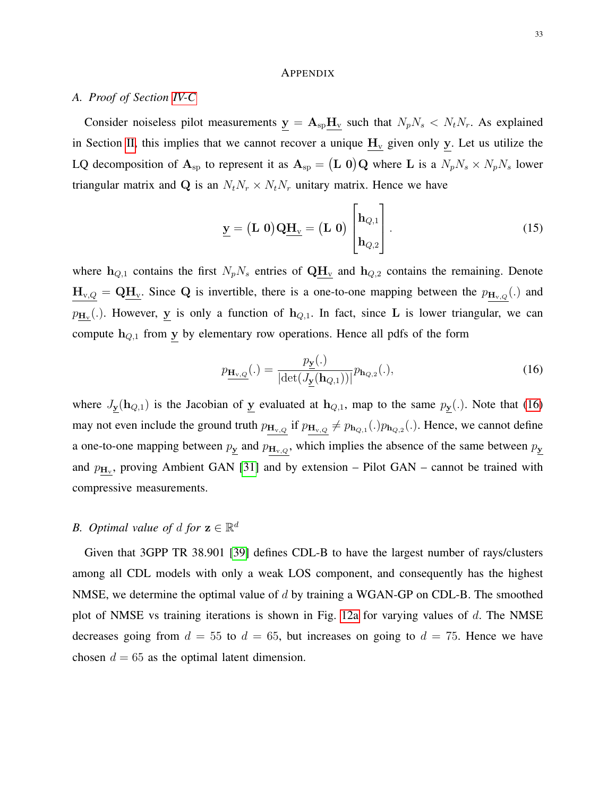#### **APPENDIX**

## <span id="page-32-0"></span>*A. Proof of Section [IV-C](#page-11-1)*

Consider noiseless pilot measurements  $y = A_{sp}H_v$  such that  $N_pN_s \lt N_tN_r$ . As explained in Section [II,](#page-5-0) this implies that we cannot recover a unique  $\mathbf{H}_{\rm v}$  given only y. Let us utilize the LQ decomposition of  $A_{sp}$  to represent it as  $A_{sp} = (L 0)Q$  where L is a  $N_p N_s \times N_p N_s$  lower triangular matrix and Q is an  $N_tN_r \times N_tN_r$  unitary matrix. Hence we have

$$
\underline{\mathbf{y}} = (\mathbf{L} \ \mathbf{0}) \mathbf{Q} \underline{\mathbf{H}}_{\mathbf{v}} = (\mathbf{L} \ \mathbf{0}) \begin{bmatrix} \mathbf{h}_{Q,1} \\ \mathbf{h}_{Q,2} \end{bmatrix} . \tag{15}
$$

where  $h_{Q,1}$  contains the first  $N_pN_s$  entries of  $QH_v$  and  $h_{Q,2}$  contains the remaining. Denote  $H_{v,Q} = QH_v$ . Since Q is invertible, there is a one-to-one mapping between the  $p_{H_{v,Q}}(.)$  and  $p_{\mathbf{H}_{\mathbf{v}}}$ (.). However, y is only a function of  $\mathbf{h}_{Q,1}$ . In fact, since L is lower triangular, we can compute  $h_{Q,1}$  from y by elementary row operations. Hence all pdfs of the form

<span id="page-32-2"></span>
$$
p_{\mathbf{H}_{\mathbf{v},Q}}(.) = \frac{p_{\mathbf{y}}(.)}{|\det(J_{\mathbf{y}}(\mathbf{h}_{Q,1}))|} p_{\mathbf{h}_{Q,2}}(.),
$$
\n(16)

where  $J_{\underline{y}}(h_{Q,1})$  is the Jacobian of  $\underline{y}$  evaluated at  $h_{Q,1}$ , map to the same  $p_{\underline{y}}(.)$ . Note that [\(16\)](#page-32-2) may not even include the ground truth  $p_{H_{v,Q}}$  if  $p_{H_{v,Q}} \neq p_{h_{Q,1}}(.)p_{h_{Q,2}}(.)$ . Hence, we cannot define a one-to-one mapping between  $p_{\underline{y}}$  and  $p_{\underline{H}_{v,Q}}$ , which implies the absence of the same between  $p_{\underline{y}}$ and  $p_{\text{H}_{v}}$ , proving Ambient GAN [\[31\]](#page-30-9) and by extension – Pilot GAN – cannot be trained with compressive measurements.

## <span id="page-32-1"></span>*B.* Optimal value of d for  $z \in \mathbb{R}^d$

Given that 3GPP TR 38.901 [\[39\]](#page-30-17) defines CDL-B to have the largest number of rays/clusters among all CDL models with only a weak LOS component, and consequently has the highest NMSE, we determine the optimal value of  $d$  by training a WGAN-GP on CDL-B. The smoothed plot of NMSE vs training iterations is shown in Fig. [12a](#page-33-1) for varying values of  $d$ . The NMSE decreases going from  $d = 55$  to  $d = 65$ , but increases on going to  $d = 75$ . Hence we have chosen  $d = 65$  as the optimal latent dimension.